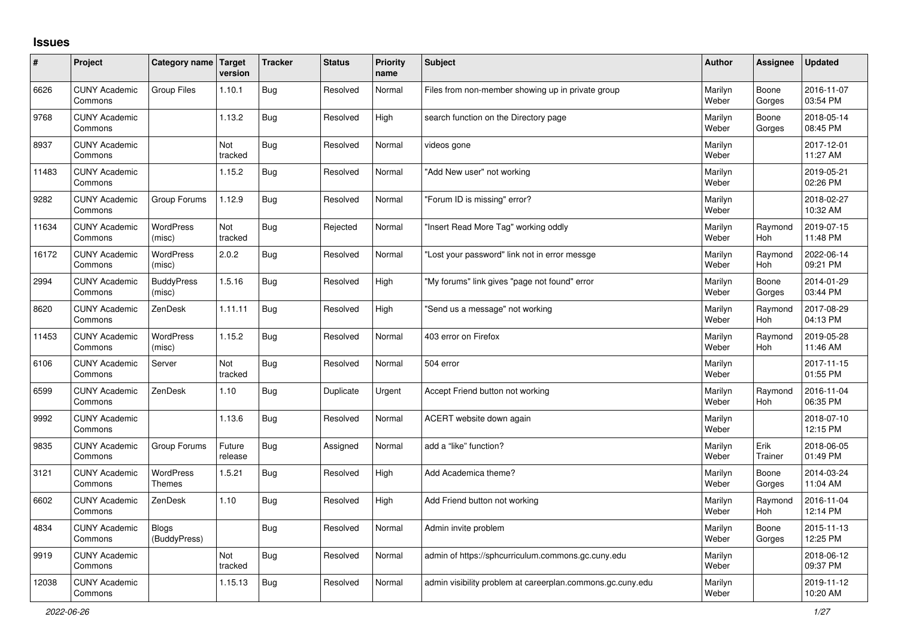## **Issues**

| ∦     | Project                         | Category name Target         | version           | <b>Tracker</b> | <b>Status</b> | Priority<br>name | <b>Subject</b>                                             | Author           | Assignee              | <b>Updated</b>         |
|-------|---------------------------------|------------------------------|-------------------|----------------|---------------|------------------|------------------------------------------------------------|------------------|-----------------------|------------------------|
| 6626  | <b>CUNY Academic</b><br>Commons | <b>Group Files</b>           | 1.10.1            | <b>Bug</b>     | Resolved      | Normal           | Files from non-member showing up in private group          | Marilyn<br>Weber | Boone<br>Gorges       | 2016-11-07<br>03:54 PM |
| 9768  | <b>CUNY Academic</b><br>Commons |                              | 1.13.2            | <b>Bug</b>     | Resolved      | High             | search function on the Directory page                      | Marilyn<br>Weber | Boone<br>Gorges       | 2018-05-14<br>08:45 PM |
| 8937  | <b>CUNY Academic</b><br>Commons |                              | Not<br>tracked    | <b>Bug</b>     | Resolved      | Normal           | videos gone                                                | Marilyn<br>Weber |                       | 2017-12-01<br>11:27 AM |
| 11483 | <b>CUNY Academic</b><br>Commons |                              | 1.15.2            | <b>Bug</b>     | Resolved      | Normal           | "Add New user" not working                                 | Marilyn<br>Weber |                       | 2019-05-21<br>02:26 PM |
| 9282  | <b>CUNY Academic</b><br>Commons | Group Forums                 | 1.12.9            | <b>Bug</b>     | Resolved      | Normal           | "Forum ID is missing" error?                               | Marilyn<br>Weber |                       | 2018-02-27<br>10:32 AM |
| 11634 | <b>CUNY Academic</b><br>Commons | WordPress<br>(misc)          | Not<br>tracked    | <b>Bug</b>     | Rejected      | Normal           | "Insert Read More Tag" working oddly                       | Marilyn<br>Weber | Raymond<br>Hoh        | 2019-07-15<br>11:48 PM |
| 16172 | <b>CUNY Academic</b><br>Commons | <b>WordPress</b><br>(misc)   | 2.0.2             | <b>Bug</b>     | Resolved      | Normal           | "Lost your password" link not in error messge              | Marilyn<br>Weber | Raymond<br>Hoh        | 2022-06-14<br>09:21 PM |
| 2994  | <b>CUNY Academic</b><br>Commons | <b>BuddyPress</b><br>(misc)  | 1.5.16            | Bug            | Resolved      | High             | "My forums" link gives "page not found" error              | Marilyn<br>Weber | Boone<br>Gorges       | 2014-01-29<br>03:44 PM |
| 8620  | <b>CUNY Academic</b><br>Commons | ZenDesk                      | 1.11.11           | <b>Bug</b>     | Resolved      | High             | 'Send us a message" not working                            | Marilyn<br>Weber | Raymond<br><b>Hoh</b> | 2017-08-29<br>04:13 PM |
| 11453 | <b>CUNY Academic</b><br>Commons | WordPress<br>(misc)          | 1.15.2            | <b>Bug</b>     | Resolved      | Normal           | 403 error on Firefox                                       | Marilyn<br>Weber | Raymond<br>Hoh        | 2019-05-28<br>11:46 AM |
| 6106  | <b>CUNY Academic</b><br>Commons | Server                       | Not<br>tracked    | <b>Bug</b>     | Resolved      | Normal           | 504 error                                                  | Marilyn<br>Weber |                       | 2017-11-15<br>01:55 PM |
| 6599  | <b>CUNY Academic</b><br>Commons | ZenDesk                      | 1.10              | Bug            | Duplicate     | Urgent           | Accept Friend button not working                           | Marilyn<br>Weber | Raymond<br>Hoh        | 2016-11-04<br>06:35 PM |
| 9992  | <b>CUNY Academic</b><br>Commons |                              | 1.13.6            | Bug            | Resolved      | Normal           | ACERT website down again                                   | Marilyn<br>Weber |                       | 2018-07-10<br>12:15 PM |
| 9835  | <b>CUNY Academic</b><br>Commons | Group Forums                 | Future<br>release | Bug            | Assigned      | Normal           | add a "like" function?                                     | Marilyn<br>Weber | Erik<br>Trainer       | 2018-06-05<br>01:49 PM |
| 3121  | <b>CUNY Academic</b><br>Commons | WordPress<br><b>Themes</b>   | 1.5.21            | Bug            | Resolved      | High             | Add Academica theme?                                       | Marilyn<br>Weber | Boone<br>Gorges       | 2014-03-24<br>11:04 AM |
| 6602  | <b>CUNY Academic</b><br>Commons | ZenDesk                      | 1.10              | Bug            | Resolved      | High             | Add Friend button not working                              | Marilyn<br>Weber | Raymond<br>Hoh        | 2016-11-04<br>12:14 PM |
| 4834  | <b>CUNY Academic</b><br>Commons | <b>Blogs</b><br>(BuddyPress) |                   | Bug            | Resolved      | Normal           | Admin invite problem                                       | Marilyn<br>Weber | Boone<br>Gorges       | 2015-11-13<br>12:25 PM |
| 9919  | <b>CUNY Academic</b><br>Commons |                              | Not<br>tracked    | Bug            | Resolved      | Normal           | admin of https://sphcurriculum.commons.gc.cuny.edu         | Marilyn<br>Weber |                       | 2018-06-12<br>09:37 PM |
| 12038 | <b>CUNY Academic</b><br>Commons |                              | 1.15.13           | <b>Bug</b>     | Resolved      | Normal           | admin visibility problem at careerplan.commons.gc.cuny.edu | Marilyn<br>Weber |                       | 2019-11-12<br>10:20 AM |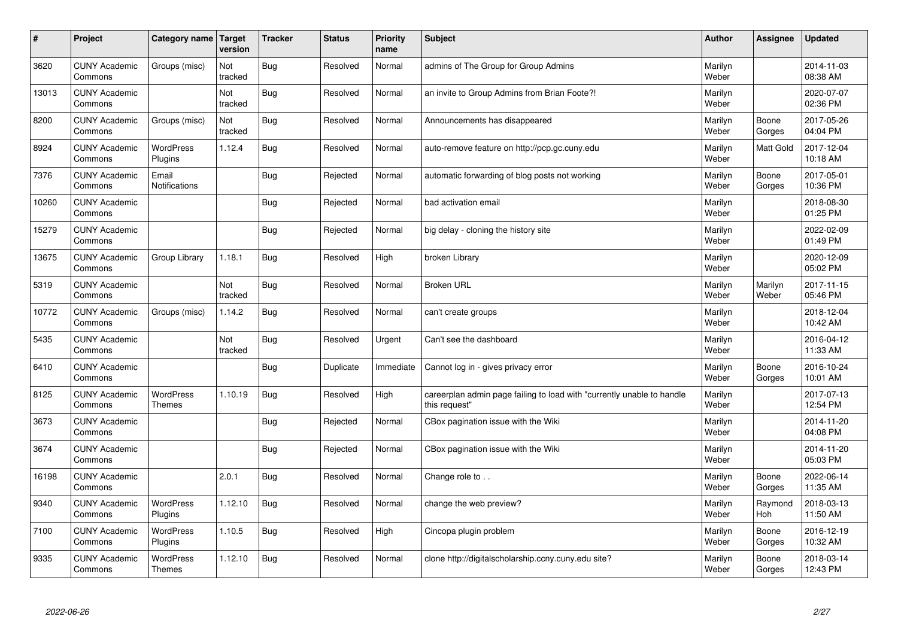| #     | Project                         | Category name   Target            | version        | <b>Tracker</b> | <b>Status</b> | <b>Priority</b><br>name | <b>Subject</b>                                                                          | <b>Author</b>    | Assignee              | <b>Updated</b>         |
|-------|---------------------------------|-----------------------------------|----------------|----------------|---------------|-------------------------|-----------------------------------------------------------------------------------------|------------------|-----------------------|------------------------|
| 3620  | <b>CUNY Academic</b><br>Commons | Groups (misc)                     | Not<br>tracked | <b>Bug</b>     | Resolved      | Normal                  | admins of The Group for Group Admins                                                    | Marilyn<br>Weber |                       | 2014-11-03<br>08:38 AM |
| 13013 | <b>CUNY Academic</b><br>Commons |                                   | Not<br>tracked | Bug            | Resolved      | Normal                  | an invite to Group Admins from Brian Foote?!                                            | Marilyn<br>Weber |                       | 2020-07-07<br>02:36 PM |
| 8200  | <b>CUNY Academic</b><br>Commons | Groups (misc)                     | Not<br>tracked | Bug            | Resolved      | Normal                  | Announcements has disappeared                                                           | Marilyn<br>Weber | Boone<br>Gorges       | 2017-05-26<br>04:04 PM |
| 8924  | <b>CUNY Academic</b><br>Commons | <b>WordPress</b><br>Plugins       | 1.12.4         | Bug            | Resolved      | Normal                  | auto-remove feature on http://pcp.gc.cuny.edu                                           | Marilyn<br>Weber | <b>Matt Gold</b>      | 2017-12-04<br>10:18 AM |
| 7376  | <b>CUNY Academic</b><br>Commons | Email<br>Notifications            |                | Bug            | Rejected      | Normal                  | automatic forwarding of blog posts not working                                          | Marilyn<br>Weber | Boone<br>Gorges       | 2017-05-01<br>10:36 PM |
| 10260 | <b>CUNY Academic</b><br>Commons |                                   |                | Bug            | Rejected      | Normal                  | bad activation email                                                                    | Marilyn<br>Weber |                       | 2018-08-30<br>01:25 PM |
| 15279 | <b>CUNY Academic</b><br>Commons |                                   |                | Bug            | Rejected      | Normal                  | big delay - cloning the history site                                                    | Marilyn<br>Weber |                       | 2022-02-09<br>01:49 PM |
| 13675 | <b>CUNY Academic</b><br>Commons | Group Library                     | 1.18.1         | Bug            | Resolved      | High                    | broken Library                                                                          | Marilyn<br>Weber |                       | 2020-12-09<br>05:02 PM |
| 5319  | <b>CUNY Academic</b><br>Commons |                                   | Not<br>tracked | Bug            | Resolved      | Normal                  | <b>Broken URL</b>                                                                       | Marilyn<br>Weber | Marilyn<br>Weber      | 2017-11-15<br>05:46 PM |
| 10772 | <b>CUNY Academic</b><br>Commons | Groups (misc)                     | 1.14.2         | Bug            | Resolved      | Normal                  | can't create groups                                                                     | Marilyn<br>Weber |                       | 2018-12-04<br>10:42 AM |
| 5435  | <b>CUNY Academic</b><br>Commons |                                   | Not<br>tracked | Bug            | Resolved      | Urgent                  | Can't see the dashboard                                                                 | Marilyn<br>Weber |                       | 2016-04-12<br>11:33 AM |
| 6410  | <b>CUNY Academic</b><br>Commons |                                   |                | Bug            | Duplicate     | Immediate               | Cannot log in - gives privacy error                                                     | Marilyn<br>Weber | Boone<br>Gorges       | 2016-10-24<br>10:01 AM |
| 8125  | <b>CUNY Academic</b><br>Commons | <b>WordPress</b><br><b>Themes</b> | 1.10.19        | Bug            | Resolved      | High                    | careerplan admin page failing to load with "currently unable to handle<br>this request" | Marilyn<br>Weber |                       | 2017-07-13<br>12:54 PM |
| 3673  | <b>CUNY Academic</b><br>Commons |                                   |                | Bug            | Rejected      | Normal                  | CBox pagination issue with the Wiki                                                     | Marilyn<br>Weber |                       | 2014-11-20<br>04:08 PM |
| 3674  | <b>CUNY Academic</b><br>Commons |                                   |                | Bug            | Rejected      | Normal                  | CBox pagination issue with the Wiki                                                     | Marilyn<br>Weber |                       | 2014-11-20<br>05:03 PM |
| 16198 | <b>CUNY Academic</b><br>Commons |                                   | 2.0.1          | Bug            | Resolved      | Normal                  | Change role to                                                                          | Marilyn<br>Weber | Boone<br>Gorges       | 2022-06-14<br>11:35 AM |
| 9340  | <b>CUNY Academic</b><br>Commons | WordPress<br>Plugins              | 1.12.10        | Bug            | Resolved      | Normal                  | change the web preview?                                                                 | Marilyn<br>Weber | Raymond<br><b>Hoh</b> | 2018-03-13<br>11:50 AM |
| 7100  | <b>CUNY Academic</b><br>Commons | <b>WordPress</b><br>Plugins       | 1.10.5         | Bug            | Resolved      | High                    | Cincopa plugin problem                                                                  | Marilyn<br>Weber | Boone<br>Gorges       | 2016-12-19<br>10:32 AM |
| 9335  | <b>CUNY Academic</b><br>Commons | <b>WordPress</b><br><b>Themes</b> | 1.12.10        | Bug            | Resolved      | Normal                  | clone http://digitalscholarship.ccny.cuny.edu site?                                     | Marilyn<br>Weber | Boone<br>Gorges       | 2018-03-14<br>12:43 PM |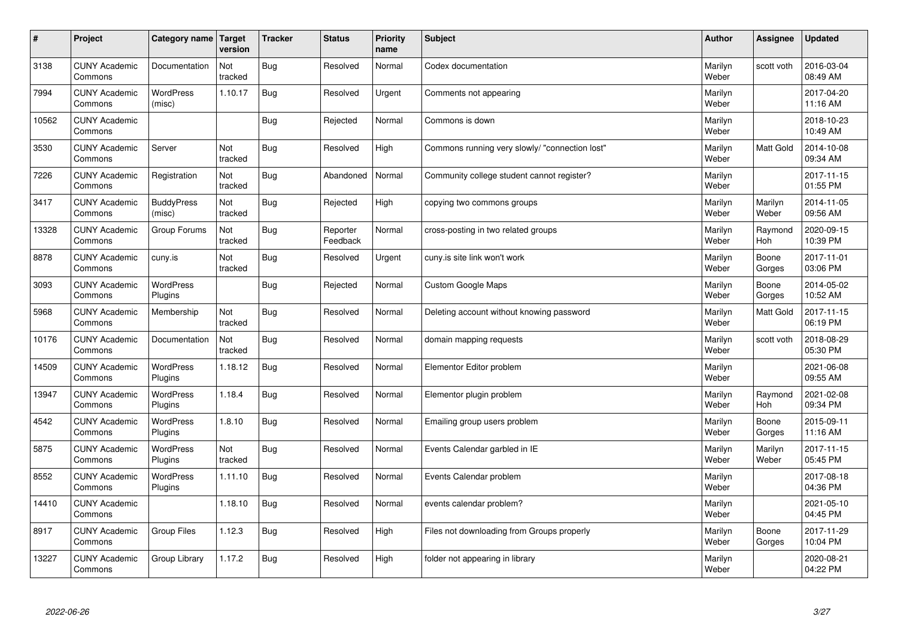| $\sharp$ | Project                         | Category name   Target      | version        | <b>Tracker</b> | <b>Status</b>        | <b>Priority</b><br>name | <b>Subject</b>                                 | <b>Author</b>    | Assignee         | Updated                |
|----------|---------------------------------|-----------------------------|----------------|----------------|----------------------|-------------------------|------------------------------------------------|------------------|------------------|------------------------|
| 3138     | <b>CUNY Academic</b><br>Commons | Documentation               | Not<br>tracked | Bug            | Resolved             | Normal                  | Codex documentation                            | Marilyn<br>Weber | scott voth       | 2016-03-04<br>08:49 AM |
| 7994     | <b>CUNY Academic</b><br>Commons | <b>WordPress</b><br>(misc)  | 1.10.17        | Bug            | Resolved             | Urgent                  | Comments not appearing                         | Marilyn<br>Weber |                  | 2017-04-20<br>11:16 AM |
| 10562    | <b>CUNY Academic</b><br>Commons |                             |                | Bug            | Rejected             | Normal                  | Commons is down                                | Marilyn<br>Weber |                  | 2018-10-23<br>10:49 AM |
| 3530     | <b>CUNY Academic</b><br>Commons | Server                      | Not<br>tracked | Bug            | Resolved             | High                    | Commons running very slowly/ "connection lost" | Marilyn<br>Weber | Matt Gold        | 2014-10-08<br>09:34 AM |
| 7226     | <b>CUNY Academic</b><br>Commons | Registration                | Not<br>tracked | Bug            | Abandoned            | Normal                  | Community college student cannot register?     | Marilyn<br>Weber |                  | 2017-11-15<br>01:55 PM |
| 3417     | <b>CUNY Academic</b><br>Commons | <b>BuddyPress</b><br>(misc) | Not<br>tracked | Bug            | Rejected             | High                    | copying two commons groups                     | Marilyn<br>Weber | Marilyn<br>Weber | 2014-11-05<br>09:56 AM |
| 13328    | <b>CUNY Academic</b><br>Commons | Group Forums                | Not<br>tracked | Bug            | Reporter<br>Feedback | Normal                  | cross-posting in two related groups            | Marilyn<br>Weber | Raymond<br>Hoh   | 2020-09-15<br>10:39 PM |
| 8878     | <b>CUNY Academic</b><br>Commons | cuny.is                     | Not<br>tracked | Bug            | Resolved             | Urgent                  | cuny is site link won't work                   | Marilyn<br>Weber | Boone<br>Gorges  | 2017-11-01<br>03:06 PM |
| 3093     | <b>CUNY Academic</b><br>Commons | <b>WordPress</b><br>Plugins |                | Bug            | Rejected             | Normal                  | Custom Google Maps                             | Marilyn<br>Weber | Boone<br>Gorges  | 2014-05-02<br>10:52 AM |
| 5968     | <b>CUNY Academic</b><br>Commons | Membership                  | Not<br>tracked | Bug            | Resolved             | Normal                  | Deleting account without knowing password      | Marilyn<br>Weber | Matt Gold        | 2017-11-15<br>06:19 PM |
| 10176    | <b>CUNY Academic</b><br>Commons | Documentation               | Not<br>tracked | Bug            | Resolved             | Normal                  | domain mapping requests                        | Marilyn<br>Weber | scott voth       | 2018-08-29<br>05:30 PM |
| 14509    | <b>CUNY Academic</b><br>Commons | <b>WordPress</b><br>Plugins | 1.18.12        | <b>Bug</b>     | Resolved             | Normal                  | Elementor Editor problem                       | Marilyn<br>Weber |                  | 2021-06-08<br>09:55 AM |
| 13947    | <b>CUNY Academic</b><br>Commons | <b>WordPress</b><br>Plugins | 1.18.4         | Bug            | Resolved             | Normal                  | Elementor plugin problem                       | Marilyn<br>Weber | Raymond<br>Hoh   | 2021-02-08<br>09:34 PM |
| 4542     | <b>CUNY Academic</b><br>Commons | <b>WordPress</b><br>Plugins | 1.8.10         | Bug            | Resolved             | Normal                  | Emailing group users problem                   | Marilyn<br>Weber | Boone<br>Gorges  | 2015-09-11<br>11:16 AM |
| 5875     | <b>CUNY Academic</b><br>Commons | <b>WordPress</b><br>Plugins | Not<br>tracked | Bug            | Resolved             | Normal                  | Events Calendar garbled in IE                  | Marilyn<br>Weber | Marilyn<br>Weber | 2017-11-15<br>05:45 PM |
| 8552     | <b>CUNY Academic</b><br>Commons | WordPress<br>Plugins        | 1.11.10        | Bug            | Resolved             | Normal                  | Events Calendar problem                        | Marilyn<br>Weber |                  | 2017-08-18<br>04:36 PM |
| 14410    | <b>CUNY Academic</b><br>Commons |                             | 1.18.10        | Bug            | Resolved             | Normal                  | events calendar problem?                       | Marilyn<br>Weber |                  | 2021-05-10<br>04:45 PM |
| 8917     | <b>CUNY Academic</b><br>Commons | <b>Group Files</b>          | 1.12.3         | Bug            | Resolved             | High                    | Files not downloading from Groups properly     | Marilyn<br>Weber | Boone<br>Gorges  | 2017-11-29<br>10:04 PM |
| 13227    | <b>CUNY Academic</b><br>Commons | Group Library               | 1.17.2         | Bug            | Resolved             | High                    | folder not appearing in library                | Marilyn<br>Weber |                  | 2020-08-21<br>04:22 PM |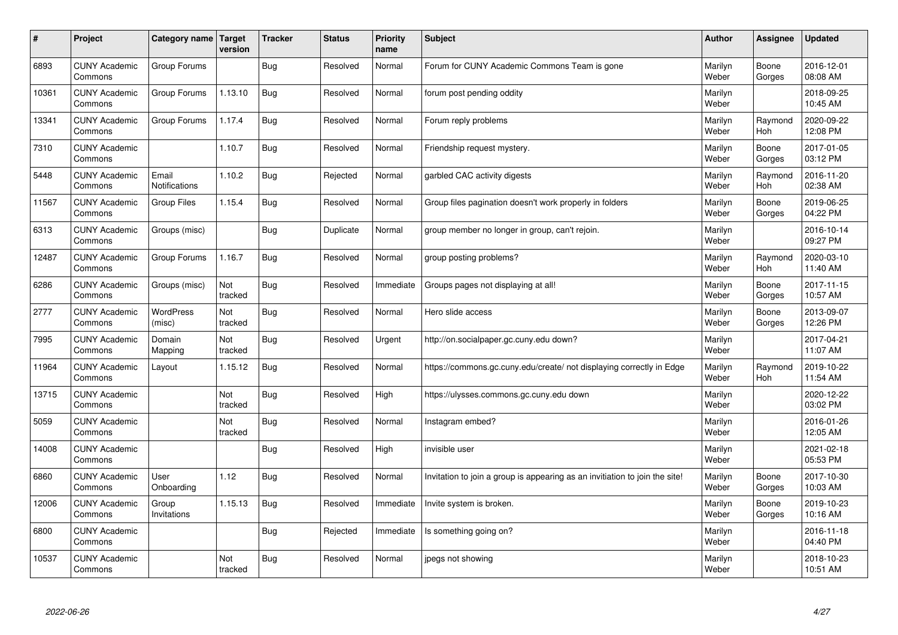| #     | Project                         | Category name   Target | version        | <b>Tracker</b> | <b>Status</b> | <b>Priority</b><br>name | <b>Subject</b>                                                              | <b>Author</b>    | Assignee              | Updated                |
|-------|---------------------------------|------------------------|----------------|----------------|---------------|-------------------------|-----------------------------------------------------------------------------|------------------|-----------------------|------------------------|
| 6893  | <b>CUNY Academic</b><br>Commons | Group Forums           |                | Bug            | Resolved      | Normal                  | Forum for CUNY Academic Commons Team is gone                                | Marilyn<br>Weber | Boone<br>Gorges       | 2016-12-01<br>08:08 AM |
| 10361 | <b>CUNY Academic</b><br>Commons | Group Forums           | 1.13.10        | Bug            | Resolved      | Normal                  | forum post pending oddity                                                   | Marilyn<br>Weber |                       | 2018-09-25<br>10:45 AM |
| 13341 | <b>CUNY Academic</b><br>Commons | Group Forums           | 1.17.4         | Bug            | Resolved      | Normal                  | Forum reply problems                                                        | Marilyn<br>Weber | Raymond<br><b>Hoh</b> | 2020-09-22<br>12:08 PM |
| 7310  | <b>CUNY Academic</b><br>Commons |                        | 1.10.7         | Bug            | Resolved      | Normal                  | Friendship request mystery.                                                 | Marilyn<br>Weber | Boone<br>Gorges       | 2017-01-05<br>03:12 PM |
| 5448  | <b>CUNY Academic</b><br>Commons | Email<br>Notifications | 1.10.2         | Bug            | Rejected      | Normal                  | garbled CAC activity digests                                                | Marilyn<br>Weber | Raymond<br>Hoh        | 2016-11-20<br>02:38 AM |
| 11567 | <b>CUNY Academic</b><br>Commons | <b>Group Files</b>     | 1.15.4         | Bug            | Resolved      | Normal                  | Group files pagination doesn't work properly in folders                     | Marilyn<br>Weber | Boone<br>Gorges       | 2019-06-25<br>04:22 PM |
| 6313  | <b>CUNY Academic</b><br>Commons | Groups (misc)          |                | Bug            | Duplicate     | Normal                  | group member no longer in group, can't rejoin.                              | Marilyn<br>Weber |                       | 2016-10-14<br>09:27 PM |
| 12487 | <b>CUNY Academic</b><br>Commons | Group Forums           | 1.16.7         | Bug            | Resolved      | Normal                  | group posting problems?                                                     | Marilyn<br>Weber | Raymond<br>Hoh        | 2020-03-10<br>11:40 AM |
| 6286  | <b>CUNY Academic</b><br>Commons | Groups (misc)          | Not<br>tracked | Bug            | Resolved      | Immediate               | Groups pages not displaying at all!                                         | Marilyn<br>Weber | Boone<br>Gorges       | 2017-11-15<br>10:57 AM |
| 2777  | <b>CUNY Academic</b><br>Commons | WordPress<br>(misc)    | Not<br>tracked | Bug            | Resolved      | Normal                  | Hero slide access                                                           | Marilyn<br>Weber | Boone<br>Gorges       | 2013-09-07<br>12:26 PM |
| 7995  | <b>CUNY Academic</b><br>Commons | Domain<br>Mapping      | Not<br>tracked | Bug            | Resolved      | Urgent                  | http://on.socialpaper.gc.cuny.edu down?                                     | Marilyn<br>Weber |                       | 2017-04-21<br>11:07 AM |
| 11964 | <b>CUNY Academic</b><br>Commons | Layout                 | 1.15.12        | Bug            | Resolved      | Normal                  | https://commons.gc.cuny.edu/create/ not displaying correctly in Edge        | Marilyn<br>Weber | Raymond<br>Hoh        | 2019-10-22<br>11:54 AM |
| 13715 | <b>CUNY Academic</b><br>Commons |                        | Not<br>tracked | Bug            | Resolved      | High                    | https://ulysses.commons.gc.cuny.edu down                                    | Marilyn<br>Weber |                       | 2020-12-22<br>03:02 PM |
| 5059  | <b>CUNY Academic</b><br>Commons |                        | Not<br>tracked | Bug            | Resolved      | Normal                  | Instagram embed?                                                            | Marilyn<br>Weber |                       | 2016-01-26<br>12:05 AM |
| 14008 | <b>CUNY Academic</b><br>Commons |                        |                | Bug            | Resolved      | High                    | invisible user                                                              | Marilyn<br>Weber |                       | 2021-02-18<br>05:53 PM |
| 6860  | <b>CUNY Academic</b><br>Commons | User<br>Onboarding     | 1.12           | Bug            | Resolved      | Normal                  | Invitation to join a group is appearing as an invitiation to join the site! | Marilyn<br>Weber | Boone<br>Gorges       | 2017-10-30<br>10:03 AM |
| 12006 | <b>CUNY Academic</b><br>Commons | Group<br>Invitations   | 1.15.13        | Bug            | Resolved      | Immediate               | Invite system is broken.                                                    | Marilyn<br>Weber | Boone<br>Gorges       | 2019-10-23<br>10:16 AM |
| 6800  | <b>CUNY Academic</b><br>Commons |                        |                | Bug            | Rejected      | Immediate               | Is something going on?                                                      | Marilyn<br>Weber |                       | 2016-11-18<br>04:40 PM |
| 10537 | <b>CUNY Academic</b><br>Commons |                        | Not<br>tracked | Bug            | Resolved      | Normal                  | jpegs not showing                                                           | Marilyn<br>Weber |                       | 2018-10-23<br>10:51 AM |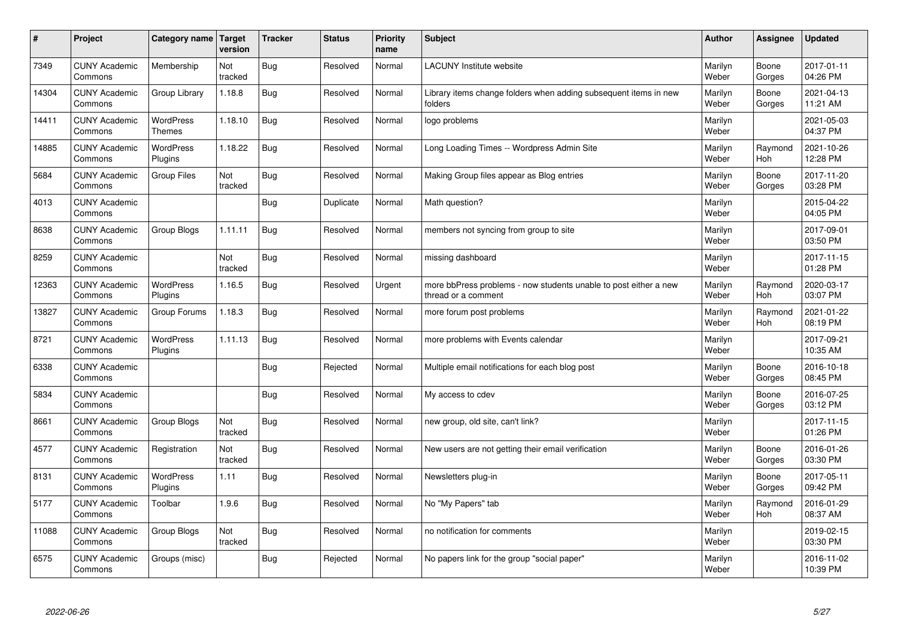| $\sharp$ | Project                         | Category name   Target            | version        | <b>Tracker</b> | <b>Status</b> | <b>Priority</b><br>name | <b>Subject</b>                                                                          | <b>Author</b>    | Assignee              | <b>Updated</b>         |
|----------|---------------------------------|-----------------------------------|----------------|----------------|---------------|-------------------------|-----------------------------------------------------------------------------------------|------------------|-----------------------|------------------------|
| 7349     | <b>CUNY Academic</b><br>Commons | Membership                        | Not<br>tracked | Bug            | Resolved      | Normal                  | <b>LACUNY</b> Institute website                                                         | Marilyn<br>Weber | Boone<br>Gorges       | 2017-01-11<br>04:26 PM |
| 14304    | <b>CUNY Academic</b><br>Commons | Group Library                     | 1.18.8         | Bug            | Resolved      | Normal                  | Library items change folders when adding subsequent items in new<br>folders             | Marilyn<br>Weber | Boone<br>Gorges       | 2021-04-13<br>11:21 AM |
| 14411    | <b>CUNY Academic</b><br>Commons | <b>WordPress</b><br><b>Themes</b> | 1.18.10        | Bug            | Resolved      | Normal                  | logo problems                                                                           | Marilyn<br>Weber |                       | 2021-05-03<br>04:37 PM |
| 14885    | <b>CUNY Academic</b><br>Commons | <b>WordPress</b><br>Plugins       | 1.18.22        | Bug            | Resolved      | Normal                  | Long Loading Times -- Wordpress Admin Site                                              | Marilyn<br>Weber | Raymond<br><b>Hoh</b> | 2021-10-26<br>12:28 PM |
| 5684     | <b>CUNY Academic</b><br>Commons | <b>Group Files</b>                | Not<br>tracked | Bug            | Resolved      | Normal                  | Making Group files appear as Blog entries                                               | Marilyn<br>Weber | Boone<br>Gorges       | 2017-11-20<br>03:28 PM |
| 4013     | <b>CUNY Academic</b><br>Commons |                                   |                | Bug            | Duplicate     | Normal                  | Math question?                                                                          | Marilyn<br>Weber |                       | 2015-04-22<br>04:05 PM |
| 8638     | <b>CUNY Academic</b><br>Commons | Group Blogs                       | 1.11.11        | Bug            | Resolved      | Normal                  | members not syncing from group to site                                                  | Marilyn<br>Weber |                       | 2017-09-01<br>03:50 PM |
| 8259     | <b>CUNY Academic</b><br>Commons |                                   | Not<br>tracked | Bug            | Resolved      | Normal                  | missing dashboard                                                                       | Marilyn<br>Weber |                       | 2017-11-15<br>01:28 PM |
| 12363    | <b>CUNY Academic</b><br>Commons | <b>WordPress</b><br>Plugins       | 1.16.5         | Bug            | Resolved      | Urgent                  | more bbPress problems - now students unable to post either a new<br>thread or a comment | Marilyn<br>Weber | Raymond<br>Hoh        | 2020-03-17<br>03:07 PM |
| 13827    | <b>CUNY Academic</b><br>Commons | Group Forums                      | 1.18.3         | Bug            | Resolved      | Normal                  | more forum post problems                                                                | Marilyn<br>Weber | Raymond<br>Hoh        | 2021-01-22<br>08:19 PM |
| 8721     | <b>CUNY Academic</b><br>Commons | <b>WordPress</b><br>Plugins       | 1.11.13        | Bug            | Resolved      | Normal                  | more problems with Events calendar                                                      | Marilyn<br>Weber |                       | 2017-09-21<br>10:35 AM |
| 6338     | <b>CUNY Academic</b><br>Commons |                                   |                | Bug            | Rejected      | Normal                  | Multiple email notifications for each blog post                                         | Marilyn<br>Weber | Boone<br>Gorges       | 2016-10-18<br>08:45 PM |
| 5834     | <b>CUNY Academic</b><br>Commons |                                   |                | Bug            | Resolved      | Normal                  | My access to cdev                                                                       | Marilyn<br>Weber | Boone<br>Gorges       | 2016-07-25<br>03:12 PM |
| 8661     | <b>CUNY Academic</b><br>Commons | Group Blogs                       | Not<br>tracked | Bug            | Resolved      | Normal                  | new group, old site, can't link?                                                        | Marilyn<br>Weber |                       | 2017-11-15<br>01:26 PM |
| 4577     | <b>CUNY Academic</b><br>Commons | Registration                      | Not<br>tracked | Bug            | Resolved      | Normal                  | New users are not getting their email verification                                      | Marilyn<br>Weber | Boone<br>Gorges       | 2016-01-26<br>03:30 PM |
| 8131     | <b>CUNY Academic</b><br>Commons | WordPress<br>Plugins              | 1.11           | Bug            | Resolved      | Normal                  | Newsletters plug-in                                                                     | Marilyn<br>Weber | Boone<br>Gorges       | 2017-05-11<br>09:42 PM |
| 5177     | <b>CUNY Academic</b><br>Commons | Toolbar                           | 1.9.6          | Bug            | Resolved      | Normal                  | No "My Papers" tab                                                                      | Marilyn<br>Weber | Raymond<br><b>Hoh</b> | 2016-01-29<br>08:37 AM |
| 11088    | <b>CUNY Academic</b><br>Commons | Group Blogs                       | Not<br>tracked | <b>Bug</b>     | Resolved      | Normal                  | no notification for comments                                                            | Marilyn<br>Weber |                       | 2019-02-15<br>03:30 PM |
| 6575     | <b>CUNY Academic</b><br>Commons | Groups (misc)                     |                | <b>Bug</b>     | Rejected      | Normal                  | No papers link for the group "social paper"                                             | Marilyn<br>Weber |                       | 2016-11-02<br>10:39 PM |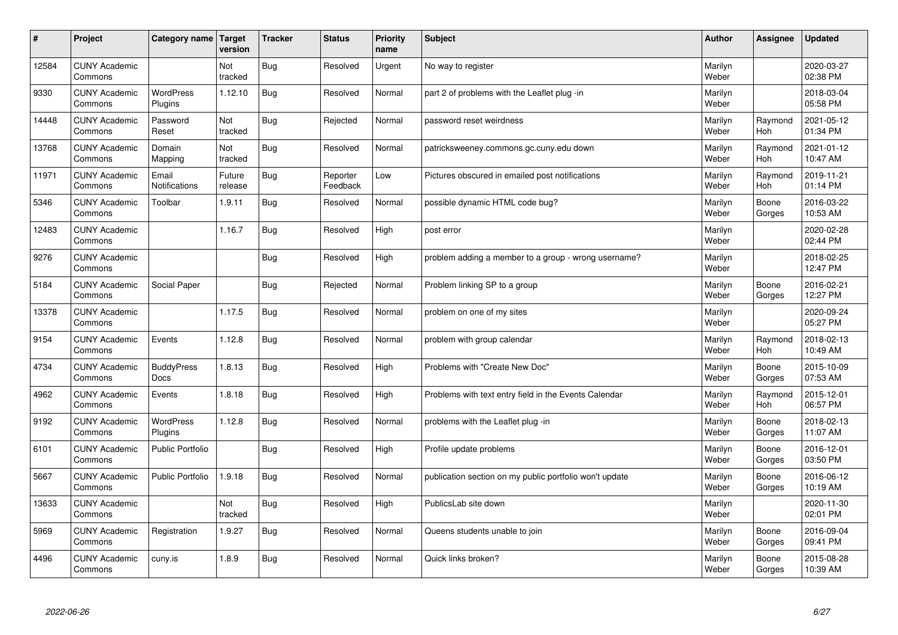| $\sharp$ | Project                         | Category name               | Target<br>version | <b>Tracker</b> | <b>Status</b>        | <b>Priority</b><br>name | <b>Subject</b>                                          | <b>Author</b>    | <b>Assignee</b>       | Updated                |
|----------|---------------------------------|-----------------------------|-------------------|----------------|----------------------|-------------------------|---------------------------------------------------------|------------------|-----------------------|------------------------|
| 12584    | <b>CUNY Academic</b><br>Commons |                             | Not<br>tracked    | Bug            | Resolved             | Urgent                  | No way to register                                      | Marilyn<br>Weber |                       | 2020-03-27<br>02:38 PM |
| 9330     | <b>CUNY Academic</b><br>Commons | <b>WordPress</b><br>Plugins | 1.12.10           | Bug            | Resolved             | Normal                  | part 2 of problems with the Leaflet plug -in            | Marilyn<br>Weber |                       | 2018-03-04<br>05:58 PM |
| 14448    | <b>CUNY Academic</b><br>Commons | Password<br>Reset           | Not<br>tracked    | Bug            | Rejected             | Normal                  | password reset weirdness                                | Marilyn<br>Weber | Raymond<br><b>Hoh</b> | 2021-05-12<br>01:34 PM |
| 13768    | <b>CUNY Academic</b><br>Commons | Domain<br>Mapping           | Not<br>tracked    | Bug            | Resolved             | Normal                  | patricksweeney.commons.gc.cuny.edu down                 | Marilyn<br>Weber | Raymond<br><b>Hoh</b> | 2021-01-12<br>10:47 AM |
| 11971    | <b>CUNY Academic</b><br>Commons | Email<br>Notifications      | Future<br>release | Bug            | Reporter<br>Feedback | Low                     | Pictures obscured in emailed post notifications         | Marilyn<br>Weber | Raymond<br>Hoh        | 2019-11-21<br>01:14 PM |
| 5346     | <b>CUNY Academic</b><br>Commons | Toolbar                     | 1.9.11            | <b>Bug</b>     | Resolved             | Normal                  | possible dynamic HTML code bug?                         | Marilyn<br>Weber | Boone<br>Gorges       | 2016-03-22<br>10:53 AM |
| 12483    | <b>CUNY Academic</b><br>Commons |                             | 1.16.7            | <b>Bug</b>     | Resolved             | High                    | post error                                              | Marilyn<br>Weber |                       | 2020-02-28<br>02:44 PM |
| 9276     | <b>CUNY Academic</b><br>Commons |                             |                   | Bug            | Resolved             | High                    | problem adding a member to a group - wrong username?    | Marilyn<br>Weber |                       | 2018-02-25<br>12:47 PM |
| 5184     | <b>CUNY Academic</b><br>Commons | Social Paper                |                   | Bug            | Rejected             | Normal                  | Problem linking SP to a group                           | Marilyn<br>Weber | Boone<br>Gorges       | 2016-02-21<br>12:27 PM |
| 13378    | <b>CUNY Academic</b><br>Commons |                             | 1.17.5            | Bug            | Resolved             | Normal                  | problem on one of my sites                              | Marilyn<br>Weber |                       | 2020-09-24<br>05:27 PM |
| 9154     | <b>CUNY Academic</b><br>Commons | Events                      | 1.12.8            | Bug            | Resolved             | Normal                  | problem with group calendar                             | Marilyn<br>Weber | Raymond<br>Hoh        | 2018-02-13<br>10:49 AM |
| 4734     | <b>CUNY Academic</b><br>Commons | <b>BuddyPress</b><br>Docs   | 1.8.13            | Bug            | Resolved             | High                    | Problems with "Create New Doc"                          | Marilyn<br>Weber | Boone<br>Gorges       | 2015-10-09<br>07:53 AM |
| 4962     | <b>CUNY Academic</b><br>Commons | Events                      | 1.8.18            | Bug            | Resolved             | High                    | Problems with text entry field in the Events Calendar   | Marilyn<br>Weber | Raymond<br>Hoh        | 2015-12-01<br>06:57 PM |
| 9192     | <b>CUNY Academic</b><br>Commons | WordPress<br>Plugins        | 1.12.8            | Bug            | Resolved             | Normal                  | problems with the Leaflet plug -in                      | Marilyn<br>Weber | Boone<br>Gorges       | 2018-02-13<br>11:07 AM |
| 6101     | <b>CUNY Academic</b><br>Commons | <b>Public Portfolio</b>     |                   | <b>Bug</b>     | Resolved             | High                    | Profile update problems                                 | Marilyn<br>Weber | Boone<br>Gorges       | 2016-12-01<br>03:50 PM |
| 5667     | <b>CUNY Academic</b><br>Commons | <b>Public Portfolio</b>     | 1.9.18            | Bug            | Resolved             | Normal                  | publication section on my public portfolio won't update | Marilyn<br>Weber | Boone<br>Gorges       | 2016-06-12<br>10:19 AM |
| 13633    | <b>CUNY Academic</b><br>Commons |                             | Not<br>tracked    | Bug            | Resolved             | High                    | PublicsLab site down                                    | Marilyn<br>Weber |                       | 2020-11-30<br>02:01 PM |
| 5969     | <b>CUNY Academic</b><br>Commons | Registration                | 1.9.27            | <b>Bug</b>     | Resolved             | Normal                  | Queens students unable to join                          | Marilyn<br>Weber | Boone<br>Gorges       | 2016-09-04<br>09:41 PM |
| 4496     | <b>CUNY Academic</b><br>Commons | cuny.is                     | 1.8.9             | Bug            | Resolved             | Normal                  | Quick links broken?                                     | Marilyn<br>Weber | Boone<br>Gorges       | 2015-08-28<br>10:39 AM |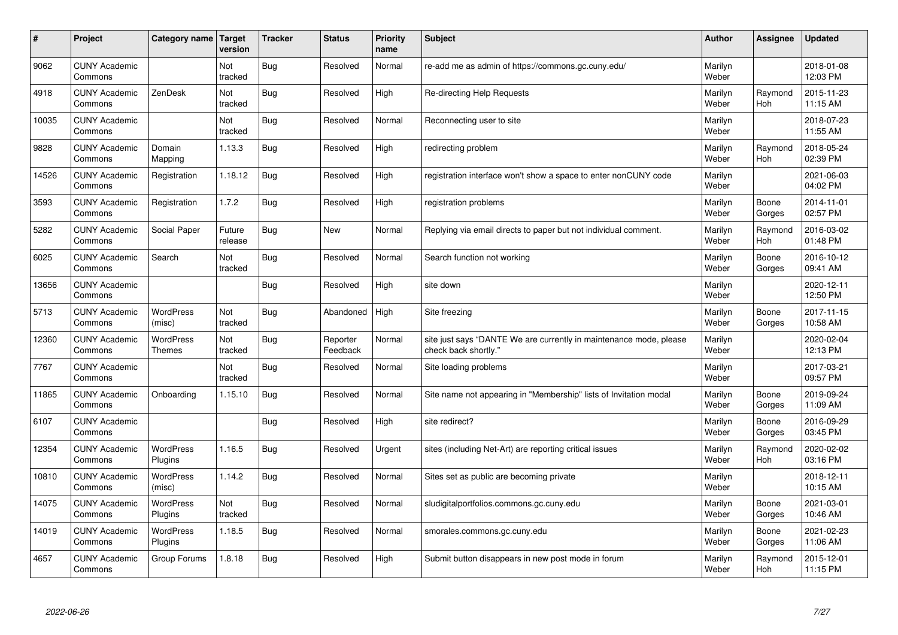| $\vert$ # | Project                         | Category name                     | <b>Target</b><br>version | <b>Tracker</b> | <b>Status</b>        | <b>Priority</b><br>name | <b>Subject</b>                                                                             | <b>Author</b>    | <b>Assignee</b>       | <b>Updated</b>         |
|-----------|---------------------------------|-----------------------------------|--------------------------|----------------|----------------------|-------------------------|--------------------------------------------------------------------------------------------|------------------|-----------------------|------------------------|
| 9062      | <b>CUNY Academic</b><br>Commons |                                   | Not<br>tracked           | Bug            | Resolved             | Normal                  | re-add me as admin of https://commons.gc.cuny.edu/                                         | Marilyn<br>Weber |                       | 2018-01-08<br>12:03 PM |
| 4918      | <b>CUNY Academic</b><br>Commons | ZenDesk                           | Not<br>tracked           | <b>Bug</b>     | Resolved             | High                    | Re-directing Help Requests                                                                 | Marilyn<br>Weber | Raymond<br><b>Hoh</b> | 2015-11-23<br>11:15 AM |
| 10035     | <b>CUNY Academic</b><br>Commons |                                   | Not<br>tracked           | <b>Bug</b>     | Resolved             | Normal                  | Reconnecting user to site                                                                  | Marilyn<br>Weber |                       | 2018-07-23<br>11:55 AM |
| 9828      | <b>CUNY Academic</b><br>Commons | Domain<br>Mapping                 | 1.13.3                   | <b>Bug</b>     | Resolved             | High                    | redirecting problem                                                                        | Marilyn<br>Weber | Raymond<br><b>Hoh</b> | 2018-05-24<br>02:39 PM |
| 14526     | <b>CUNY Academic</b><br>Commons | Registration                      | 1.18.12                  | Bug            | Resolved             | High                    | registration interface won't show a space to enter nonCUNY code                            | Marilyn<br>Weber |                       | 2021-06-03<br>04:02 PM |
| 3593      | <b>CUNY Academic</b><br>Commons | Registration                      | 1.7.2                    | Bug            | Resolved             | High                    | registration problems                                                                      | Marilyn<br>Weber | Boone<br>Gorges       | 2014-11-01<br>02:57 PM |
| 5282      | <b>CUNY Academic</b><br>Commons | Social Paper                      | Future<br>release        | Bug            | <b>New</b>           | Normal                  | Replying via email directs to paper but not individual comment.                            | Marilyn<br>Weber | Raymond<br>Hoh        | 2016-03-02<br>01:48 PM |
| 6025      | <b>CUNY Academic</b><br>Commons | Search                            | Not<br>tracked           | Bug            | Resolved             | Normal                  | Search function not working                                                                | Marilyn<br>Weber | Boone<br>Gorges       | 2016-10-12<br>09:41 AM |
| 13656     | <b>CUNY Academic</b><br>Commons |                                   |                          | Bug            | Resolved             | High                    | site down                                                                                  | Marilyn<br>Weber |                       | 2020-12-11<br>12:50 PM |
| 5713      | <b>CUNY Academic</b><br>Commons | WordPress<br>(misc)               | Not<br>tracked           | Bug            | Abandoned            | High                    | Site freezing                                                                              | Marilyn<br>Weber | Boone<br>Gorges       | 2017-11-15<br>10:58 AM |
| 12360     | <b>CUNY Academic</b><br>Commons | <b>WordPress</b><br><b>Themes</b> | Not<br>tracked           | Bug            | Reporter<br>Feedback | Normal                  | site just says "DANTE We are currently in maintenance mode, please<br>check back shortly." | Marilyn<br>Weber |                       | 2020-02-04<br>12:13 PM |
| 7767      | <b>CUNY Academic</b><br>Commons |                                   | Not<br>tracked           | <b>Bug</b>     | Resolved             | Normal                  | Site loading problems                                                                      | Marilyn<br>Weber |                       | 2017-03-21<br>09:57 PM |
| 11865     | <b>CUNY Academic</b><br>Commons | Onboarding                        | 1.15.10                  | <b>Bug</b>     | Resolved             | Normal                  | Site name not appearing in "Membership" lists of Invitation modal                          | Marilyn<br>Weber | Boone<br>Gorges       | 2019-09-24<br>11:09 AM |
| 6107      | <b>CUNY Academic</b><br>Commons |                                   |                          | Bug            | Resolved             | High                    | site redirect?                                                                             | Marilyn<br>Weber | Boone<br>Gorges       | 2016-09-29<br>03:45 PM |
| 12354     | <b>CUNY Academic</b><br>Commons | <b>WordPress</b><br>Plugins       | 1.16.5                   | <b>Bug</b>     | Resolved             | Urgent                  | sites (including Net-Art) are reporting critical issues                                    | Marilyn<br>Weber | Raymond<br>Hoh        | 2020-02-02<br>03:16 PM |
| 10810     | <b>CUNY Academic</b><br>Commons | WordPress<br>(misc)               | 1.14.2                   | Bug            | Resolved             | Normal                  | Sites set as public are becoming private                                                   | Marilyn<br>Weber |                       | 2018-12-11<br>10:15 AM |
| 14075     | <b>CUNY Academic</b><br>Commons | <b>WordPress</b><br>Plugins       | Not<br>tracked           | <b>Bug</b>     | Resolved             | Normal                  | sludigitalportfolios.commons.gc.cuny.edu                                                   | Marilyn<br>Weber | Boone<br>Gorges       | 2021-03-01<br>10:46 AM |
| 14019     | <b>CUNY Academic</b><br>Commons | WordPress<br>Plugins              | 1.18.5                   | Bug            | Resolved             | Normal                  | smorales.commons.gc.cuny.edu                                                               | Marilyn<br>Weber | Boone<br>Gorges       | 2021-02-23<br>11:06 AM |
| 4657      | <b>CUNY Academic</b><br>Commons | Group Forums                      | 1.8.18                   | Bug            | Resolved             | High                    | Submit button disappears in new post mode in forum                                         | Marilyn<br>Weber | Raymond<br>Hoh        | 2015-12-01<br>11:15 PM |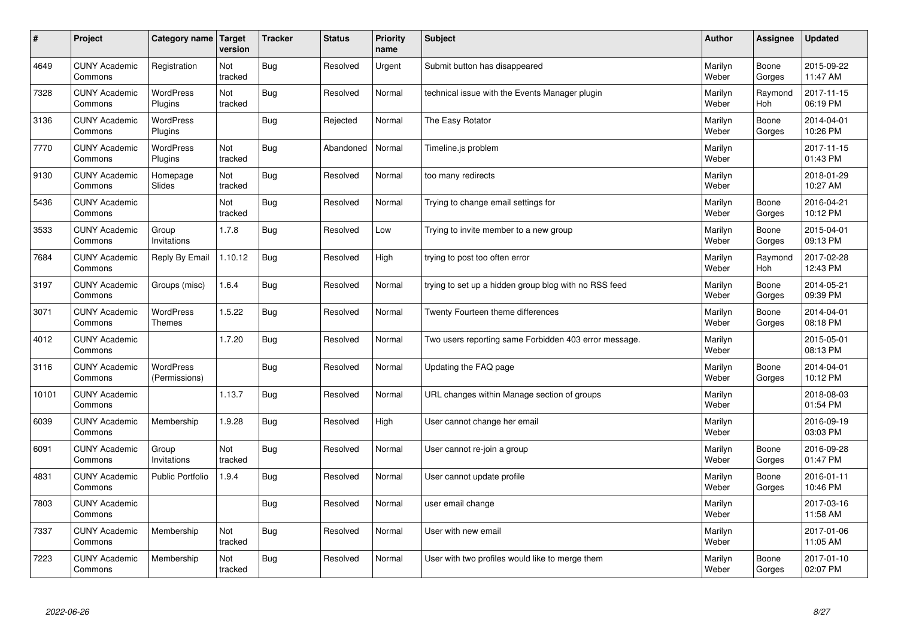| $\vert$ # | Project                         | Category name                     | <b>Target</b><br>version | <b>Tracker</b> | <b>Status</b> | <b>Priority</b><br>name | <b>Subject</b>                                        | <b>Author</b>    | Assignee        | <b>Updated</b>         |
|-----------|---------------------------------|-----------------------------------|--------------------------|----------------|---------------|-------------------------|-------------------------------------------------------|------------------|-----------------|------------------------|
| 4649      | <b>CUNY Academic</b><br>Commons | Registration                      | Not<br>tracked           | <b>Bug</b>     | Resolved      | Urgent                  | Submit button has disappeared                         | Marilyn<br>Weber | Boone<br>Gorges | 2015-09-22<br>11:47 AM |
| 7328      | <b>CUNY Academic</b><br>Commons | <b>WordPress</b><br>Plugins       | Not<br>tracked           | Bug            | Resolved      | Normal                  | technical issue with the Events Manager plugin        | Marilyn<br>Weber | Raymond<br>Hoh  | 2017-11-15<br>06:19 PM |
| 3136      | <b>CUNY Academic</b><br>Commons | <b>WordPress</b><br>Plugins       |                          | Bug            | Rejected      | Normal                  | The Easy Rotator                                      | Marilyn<br>Weber | Boone<br>Gorges | 2014-04-01<br>10:26 PM |
| 7770      | <b>CUNY Academic</b><br>Commons | WordPress<br>Plugins              | Not<br>tracked           | Bug            | Abandoned     | Normal                  | Timeline.js problem                                   | Marilyn<br>Weber |                 | 2017-11-15<br>01:43 PM |
| 9130      | <b>CUNY Academic</b><br>Commons | Homepage<br>Slides                | Not<br>tracked           | Bug            | Resolved      | Normal                  | too many redirects                                    | Marilyn<br>Weber |                 | 2018-01-29<br>10:27 AM |
| 5436      | <b>CUNY Academic</b><br>Commons |                                   | Not<br>tracked           | <b>Bug</b>     | Resolved      | Normal                  | Trying to change email settings for                   | Marilyn<br>Weber | Boone<br>Gorges | 2016-04-21<br>10:12 PM |
| 3533      | <b>CUNY Academic</b><br>Commons | Group<br>Invitations              | 1.7.8                    | <b>Bug</b>     | Resolved      | Low                     | Trying to invite member to a new group                | Marilyn<br>Weber | Boone<br>Gorges | 2015-04-01<br>09:13 PM |
| 7684      | <b>CUNY Academic</b><br>Commons | Reply By Email                    | 1.10.12                  | Bug            | Resolved      | High                    | trying to post too often error                        | Marilyn<br>Weber | Raymond<br>Hoh  | 2017-02-28<br>12:43 PM |
| 3197      | <b>CUNY Academic</b><br>Commons | Groups (misc)                     | 1.6.4                    | Bug            | Resolved      | Normal                  | trying to set up a hidden group blog with no RSS feed | Marilyn<br>Weber | Boone<br>Gorges | 2014-05-21<br>09:39 PM |
| 3071      | <b>CUNY Academic</b><br>Commons | <b>WordPress</b><br>Themes        | 1.5.22                   | Bug            | Resolved      | Normal                  | Twenty Fourteen theme differences                     | Marilyn<br>Weber | Boone<br>Gorges | 2014-04-01<br>08:18 PM |
| 4012      | <b>CUNY Academic</b><br>Commons |                                   | 1.7.20                   | Bug            | Resolved      | Normal                  | Two users reporting same Forbidden 403 error message. | Marilyn<br>Weber |                 | 2015-05-01<br>08:13 PM |
| 3116      | <b>CUNY Academic</b><br>Commons | <b>WordPress</b><br>(Permissions) |                          | Bug            | Resolved      | Normal                  | Updating the FAQ page                                 | Marilyn<br>Weber | Boone<br>Gorges | 2014-04-01<br>10:12 PM |
| 10101     | <b>CUNY Academic</b><br>Commons |                                   | 1.13.7                   | Bug            | Resolved      | Normal                  | URL changes within Manage section of groups           | Marilyn<br>Weber |                 | 2018-08-03<br>01:54 PM |
| 6039      | <b>CUNY Academic</b><br>Commons | Membership                        | 1.9.28                   | Bug            | Resolved      | High                    | User cannot change her email                          | Marilyn<br>Weber |                 | 2016-09-19<br>03:03 PM |
| 6091      | <b>CUNY Academic</b><br>Commons | Group<br>Invitations              | Not<br>tracked           | Bug            | Resolved      | Normal                  | User cannot re-join a group                           | Marilyn<br>Weber | Boone<br>Gorges | 2016-09-28<br>01:47 PM |
| 4831      | <b>CUNY Academic</b><br>Commons | <b>Public Portfolio</b>           | 1.9.4                    | Bug            | Resolved      | Normal                  | User cannot update profile                            | Marilyn<br>Weber | Boone<br>Gorges | 2016-01-11<br>10:46 PM |
| 7803      | <b>CUNY Academic</b><br>Commons |                                   |                          | Bug            | Resolved      | Normal                  | user email change                                     | Marilyn<br>Weber |                 | 2017-03-16<br>11:58 AM |
| 7337      | <b>CUNY Academic</b><br>Commons | Membership                        | Not<br>tracked           | <b>Bug</b>     | Resolved      | Normal                  | User with new email                                   | Marilyn<br>Weber |                 | 2017-01-06<br>11:05 AM |
| 7223      | <b>CUNY Academic</b><br>Commons | Membership                        | Not<br>tracked           | Bug            | Resolved      | Normal                  | User with two profiles would like to merge them       | Marilyn<br>Weber | Boone<br>Gorges | 2017-01-10<br>02:07 PM |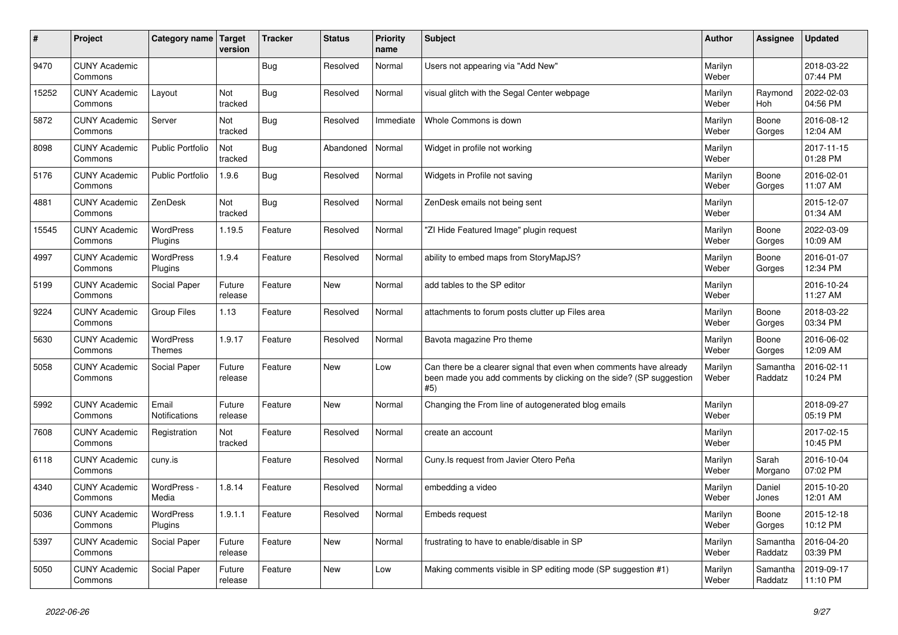| #     | Project                         | Category name   Target            | version           | <b>Tracker</b> | <b>Status</b> | <b>Priority</b><br>name | <b>Subject</b>                                                                                                                                  | <b>Author</b>    | Assignee              | <b>Updated</b>         |
|-------|---------------------------------|-----------------------------------|-------------------|----------------|---------------|-------------------------|-------------------------------------------------------------------------------------------------------------------------------------------------|------------------|-----------------------|------------------------|
| 9470  | <b>CUNY Academic</b><br>Commons |                                   |                   | Bug            | Resolved      | Normal                  | Users not appearing via "Add New"                                                                                                               | Marilyn<br>Weber |                       | 2018-03-22<br>07:44 PM |
| 15252 | <b>CUNY Academic</b><br>Commons | Layout                            | Not<br>tracked    | <b>Bug</b>     | Resolved      | Normal                  | visual glitch with the Segal Center webpage                                                                                                     | Marilyn<br>Weber | Raymond<br><b>Hoh</b> | 2022-02-03<br>04:56 PM |
| 5872  | <b>CUNY Academic</b><br>Commons | Server                            | Not<br>tracked    | Bug            | Resolved      | Immediate               | Whole Commons is down                                                                                                                           | Marilyn<br>Weber | Boone<br>Gorges       | 2016-08-12<br>12:04 AM |
| 8098  | <b>CUNY Academic</b><br>Commons | <b>Public Portfolio</b>           | Not<br>tracked    | Bug            | Abandoned     | Normal                  | Widget in profile not working                                                                                                                   | Marilyn<br>Weber |                       | 2017-11-15<br>01:28 PM |
| 5176  | <b>CUNY Academic</b><br>Commons | <b>Public Portfolio</b>           | 1.9.6             | <b>Bug</b>     | Resolved      | Normal                  | Widgets in Profile not saving                                                                                                                   | Marilyn<br>Weber | Boone<br>Gorges       | 2016-02-01<br>11:07 AM |
| 4881  | <b>CUNY Academic</b><br>Commons | ZenDesk                           | Not<br>tracked    | Bug            | Resolved      | Normal                  | ZenDesk emails not being sent                                                                                                                   | Marilyn<br>Weber |                       | 2015-12-07<br>01:34 AM |
| 15545 | <b>CUNY Academic</b><br>Commons | <b>WordPress</b><br>Plugins       | 1.19.5            | Feature        | Resolved      | Normal                  | 'ZI Hide Featured Image" plugin request                                                                                                         | Marilyn<br>Weber | Boone<br>Gorges       | 2022-03-09<br>10:09 AM |
| 4997  | <b>CUNY Academic</b><br>Commons | <b>WordPress</b><br>Plugins       | 1.9.4             | Feature        | Resolved      | Normal                  | ability to embed maps from StoryMapJS?                                                                                                          | Marilyn<br>Weber | Boone<br>Gorges       | 2016-01-07<br>12:34 PM |
| 5199  | <b>CUNY Academic</b><br>Commons | Social Paper                      | Future<br>release | Feature        | <b>New</b>    | Normal                  | add tables to the SP editor                                                                                                                     | Marilyn<br>Weber |                       | 2016-10-24<br>11:27 AM |
| 9224  | <b>CUNY Academic</b><br>Commons | <b>Group Files</b>                | 1.13              | Feature        | Resolved      | Normal                  | attachments to forum posts clutter up Files area                                                                                                | Marilyn<br>Weber | Boone<br>Gorges       | 2018-03-22<br>03:34 PM |
| 5630  | <b>CUNY Academic</b><br>Commons | <b>WordPress</b><br><b>Themes</b> | 1.9.17            | Feature        | Resolved      | Normal                  | Bavota magazine Pro theme                                                                                                                       | Marilyn<br>Weber | Boone<br>Gorges       | 2016-06-02<br>12:09 AM |
| 5058  | <b>CUNY Academic</b><br>Commons | Social Paper                      | Future<br>release | Feature        | <b>New</b>    | Low                     | Can there be a clearer signal that even when comments have already<br>been made you add comments by clicking on the side? (SP suggestion<br>#5) | Marilyn<br>Weber | Samantha<br>Raddatz   | 2016-02-11<br>10:24 PM |
| 5992  | <b>CUNY Academic</b><br>Commons | Email<br>Notifications            | Future<br>release | Feature        | <b>New</b>    | Normal                  | Changing the From line of autogenerated blog emails                                                                                             | Marilyn<br>Weber |                       | 2018-09-27<br>05:19 PM |
| 7608  | <b>CUNY Academic</b><br>Commons | Registration                      | Not<br>tracked    | Feature        | Resolved      | Normal                  | create an account                                                                                                                               | Marilyn<br>Weber |                       | 2017-02-15<br>10:45 PM |
| 6118  | <b>CUNY Academic</b><br>Commons | cuny.is                           |                   | Feature        | Resolved      | Normal                  | Cuny. Is request from Javier Otero Peña                                                                                                         | Marilyn<br>Weber | Sarah<br>Morgano      | 2016-10-04<br>07:02 PM |
| 4340  | <b>CUNY Academic</b><br>Commons | WordPress -<br>Media              | 1.8.14            | Feature        | Resolved      | Normal                  | embedding a video                                                                                                                               | Marilyn<br>Weber | Daniel<br>Jones       | 2015-10-20<br>12:01 AM |
| 5036  | <b>CUNY Academic</b><br>Commons | <b>WordPress</b><br>Plugins       | 1.9.1.1           | Feature        | Resolved      | Normal                  | <b>Embeds request</b>                                                                                                                           | Marilyn<br>Weber | Boone<br>Gorges       | 2015-12-18<br>10:12 PM |
| 5397  | <b>CUNY Academic</b><br>Commons | Social Paper                      | Future<br>release | Feature        | <b>New</b>    | Normal                  | frustrating to have to enable/disable in SP                                                                                                     | Marilyn<br>Weber | Samantha<br>Raddatz   | 2016-04-20<br>03:39 PM |
| 5050  | <b>CUNY Academic</b><br>Commons | Social Paper                      | Future<br>release | Feature        | <b>New</b>    | Low                     | Making comments visible in SP editing mode (SP suggestion #1)                                                                                   | Marilyn<br>Weber | Samantha<br>Raddatz   | 2019-09-17<br>11:10 PM |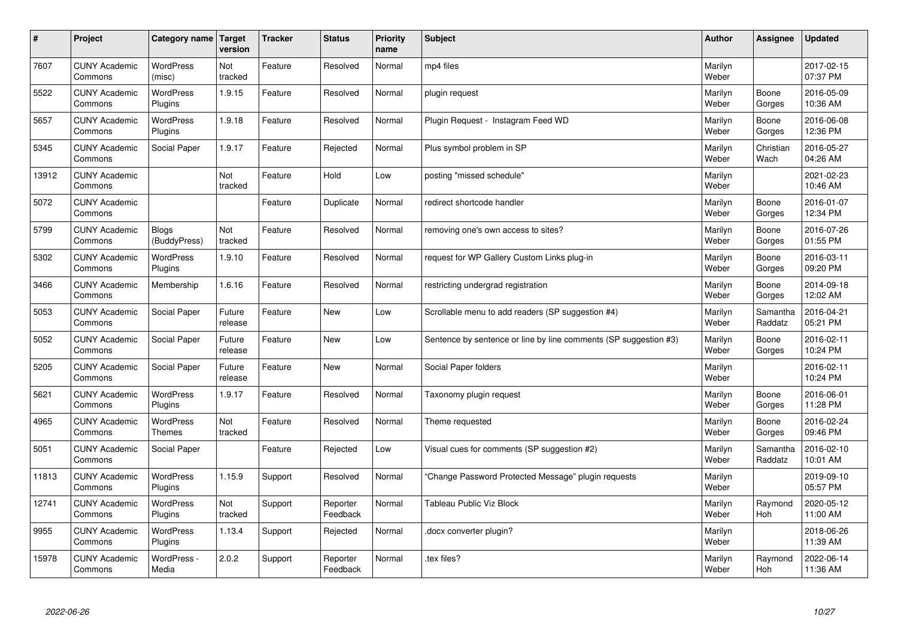| $\sharp$ | Project                         | Category name   Target            | version           | <b>Tracker</b> | <b>Status</b>        | <b>Priority</b><br>name | <b>Subject</b>                                                   | <b>Author</b>    | Assignee            | <b>Updated</b>         |
|----------|---------------------------------|-----------------------------------|-------------------|----------------|----------------------|-------------------------|------------------------------------------------------------------|------------------|---------------------|------------------------|
| 7607     | <b>CUNY Academic</b><br>Commons | <b>WordPress</b><br>(misc)        | Not<br>tracked    | Feature        | Resolved             | Normal                  | mp4 files                                                        | Marilyn<br>Weber |                     | 2017-02-15<br>07:37 PM |
| 5522     | <b>CUNY Academic</b><br>Commons | <b>WordPress</b><br>Plugins       | 1.9.15            | Feature        | Resolved             | Normal                  | plugin request                                                   | Marilyn<br>Weber | Boone<br>Gorges     | 2016-05-09<br>10:36 AM |
| 5657     | <b>CUNY Academic</b><br>Commons | <b>WordPress</b><br>Plugins       | 1.9.18            | Feature        | Resolved             | Normal                  | Plugin Request - Instagram Feed WD                               | Marilyn<br>Weber | Boone<br>Gorges     | 2016-06-08<br>12:36 PM |
| 5345     | <b>CUNY Academic</b><br>Commons | Social Paper                      | 1.9.17            | Feature        | Rejected             | Normal                  | Plus symbol problem in SP                                        | Marilyn<br>Weber | Christian<br>Wach   | 2016-05-27<br>04:26 AM |
| 13912    | <b>CUNY Academic</b><br>Commons |                                   | Not<br>tracked    | Feature        | Hold                 | Low                     | posting "missed schedule"                                        | Marilyn<br>Weber |                     | 2021-02-23<br>10:46 AM |
| 5072     | <b>CUNY Academic</b><br>Commons |                                   |                   | Feature        | Duplicate            | Normal                  | redirect shortcode handler                                       | Marilyn<br>Weber | Boone<br>Gorges     | 2016-01-07<br>12:34 PM |
| 5799     | <b>CUNY Academic</b><br>Commons | <b>Blogs</b><br>(BuddyPress)      | Not<br>tracked    | Feature        | Resolved             | Normal                  | removing one's own access to sites?                              | Marilyn<br>Weber | Boone<br>Gorges     | 2016-07-26<br>01:55 PM |
| 5302     | <b>CUNY Academic</b><br>Commons | <b>WordPress</b><br>Plugins       | 1.9.10            | Feature        | Resolved             | Normal                  | request for WP Gallery Custom Links plug-in                      | Marilyn<br>Weber | Boone<br>Gorges     | 2016-03-11<br>09:20 PM |
| 3466     | <b>CUNY Academic</b><br>Commons | Membership                        | 1.6.16            | Feature        | Resolved             | Normal                  | restricting undergrad registration                               | Marilyn<br>Weber | Boone<br>Gorges     | 2014-09-18<br>12:02 AM |
| 5053     | <b>CUNY Academic</b><br>Commons | Social Paper                      | Future<br>release | Feature        | <b>New</b>           | Low                     | Scrollable menu to add readers (SP suggestion #4)                | Marilyn<br>Weber | Samantha<br>Raddatz | 2016-04-21<br>05:21 PM |
| 5052     | <b>CUNY Academic</b><br>Commons | Social Paper                      | Future<br>release | Feature        | New                  | Low                     | Sentence by sentence or line by line comments (SP suggestion #3) | Marilyn<br>Weber | Boone<br>Gorges     | 2016-02-11<br>10:24 PM |
| 5205     | <b>CUNY Academic</b><br>Commons | Social Paper                      | Future<br>release | Feature        | <b>New</b>           | Normal                  | Social Paper folders                                             | Marilyn<br>Weber |                     | 2016-02-11<br>10:24 PM |
| 5621     | <b>CUNY Academic</b><br>Commons | WordPress<br>Plugins              | 1.9.17            | Feature        | Resolved             | Normal                  | Taxonomy plugin request                                          | Marilyn<br>Weber | Boone<br>Gorges     | 2016-06-01<br>11:28 PM |
| 4965     | <b>CUNY Academic</b><br>Commons | <b>WordPress</b><br><b>Themes</b> | Not<br>tracked    | Feature        | Resolved             | Normal                  | Theme requested                                                  | Marilyn<br>Weber | Boone<br>Gorges     | 2016-02-24<br>09:46 PM |
| 5051     | <b>CUNY Academic</b><br>Commons | Social Paper                      |                   | Feature        | Rejected             | Low                     | Visual cues for comments (SP suggestion #2)                      | Marilyn<br>Weber | Samantha<br>Raddatz | 2016-02-10<br>10:01 AM |
| 11813    | <b>CUNY Academic</b><br>Commons | <b>WordPress</b><br>Plugins       | 1.15.9            | Support        | Resolved             | Normal                  | 'Change Password Protected Message" plugin requests              | Marilyn<br>Weber |                     | 2019-09-10<br>05:57 PM |
| 12741    | <b>CUNY Academic</b><br>Commons | WordPress<br>Plugins              | Not<br>tracked    | Support        | Reporter<br>Feedback | Normal                  | <b>Tableau Public Viz Block</b>                                  | Marilyn<br>Weber | Raymond<br>Hoh      | 2020-05-12<br>11:00 AM |
| 9955     | <b>CUNY Academic</b><br>Commons | WordPress<br>Plugins              | 1.13.4            | Support        | Rejected             | Normal                  | docx converter plugin?                                           | Marilyn<br>Weber |                     | 2018-06-26<br>11:39 AM |
| 15978    | <b>CUNY Academic</b><br>Commons | WordPress -<br>Media              | 2.0.2             | Support        | Reporter<br>Feedback | Normal                  | tex files?                                                       | Marilyn<br>Weber | Raymond<br>Hoh      | 2022-06-14<br>11:36 AM |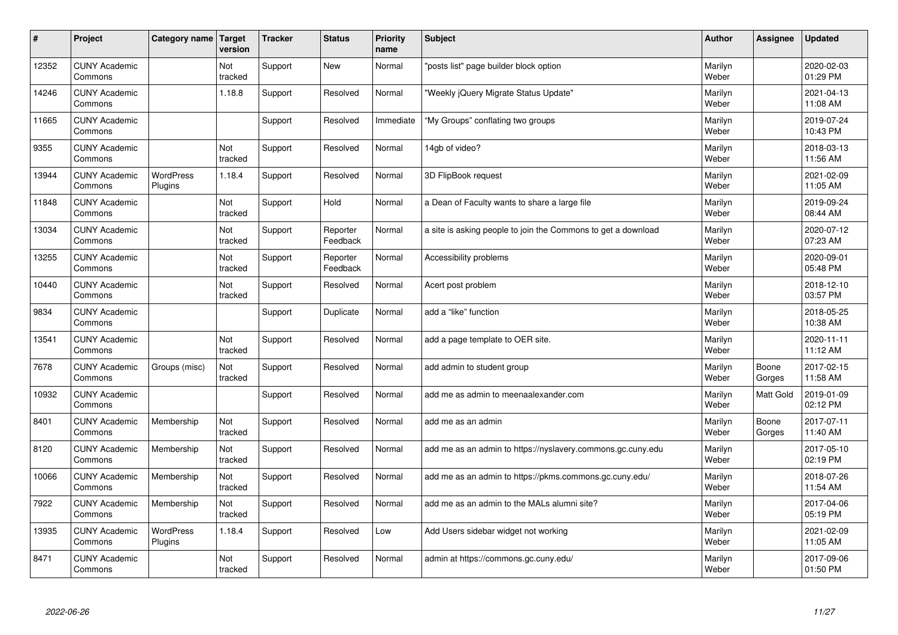| #     | Project                         | Category name               | Target<br>version | <b>Tracker</b> | <b>Status</b>        | <b>Priority</b><br>name | <b>Subject</b>                                                | <b>Author</b>    | Assignee        | <b>Updated</b>         |
|-------|---------------------------------|-----------------------------|-------------------|----------------|----------------------|-------------------------|---------------------------------------------------------------|------------------|-----------------|------------------------|
| 12352 | <b>CUNY Academic</b><br>Commons |                             | Not<br>tracked    | Support        | <b>New</b>           | Normal                  | "posts list" page builder block option                        | Marilyn<br>Weber |                 | 2020-02-03<br>01:29 PM |
| 14246 | <b>CUNY Academic</b><br>Commons |                             | 1.18.8            | Support        | Resolved             | Normal                  | 'Weekly jQuery Migrate Status Update"                         | Marilyn<br>Weber |                 | 2021-04-13<br>11:08 AM |
| 11665 | <b>CUNY Academic</b><br>Commons |                             |                   | Support        | Resolved             | Immediate               | "My Groups" conflating two groups                             | Marilyn<br>Weber |                 | 2019-07-24<br>10:43 PM |
| 9355  | <b>CUNY Academic</b><br>Commons |                             | Not<br>tracked    | Support        | Resolved             | Normal                  | 14gb of video?                                                | Marilyn<br>Weber |                 | 2018-03-13<br>11:56 AM |
| 13944 | <b>CUNY Academic</b><br>Commons | <b>WordPress</b><br>Plugins | 1.18.4            | Support        | Resolved             | Normal                  | 3D FlipBook request                                           | Marilyn<br>Weber |                 | 2021-02-09<br>11:05 AM |
| 11848 | <b>CUNY Academic</b><br>Commons |                             | Not<br>tracked    | Support        | Hold                 | Normal                  | a Dean of Faculty wants to share a large file                 | Marilyn<br>Weber |                 | 2019-09-24<br>08:44 AM |
| 13034 | <b>CUNY Academic</b><br>Commons |                             | Not<br>tracked    | Support        | Reporter<br>Feedback | Normal                  | a site is asking people to join the Commons to get a download | Marilyn<br>Weber |                 | 2020-07-12<br>07:23 AM |
| 13255 | <b>CUNY Academic</b><br>Commons |                             | Not<br>tracked    | Support        | Reporter<br>Feedback | Normal                  | Accessibility problems                                        | Marilyn<br>Weber |                 | 2020-09-01<br>05:48 PM |
| 10440 | <b>CUNY Academic</b><br>Commons |                             | Not<br>tracked    | Support        | Resolved             | Normal                  | Acert post problem                                            | Marilyn<br>Weber |                 | 2018-12-10<br>03:57 PM |
| 9834  | <b>CUNY Academic</b><br>Commons |                             |                   | Support        | Duplicate            | Normal                  | add a "like" function                                         | Marilyn<br>Weber |                 | 2018-05-25<br>10:38 AM |
| 13541 | <b>CUNY Academic</b><br>Commons |                             | Not<br>tracked    | Support        | Resolved             | Normal                  | add a page template to OER site.                              | Marilyn<br>Weber |                 | 2020-11-11<br>11:12 AM |
| 7678  | <b>CUNY Academic</b><br>Commons | Groups (misc)               | Not<br>tracked    | Support        | Resolved             | Normal                  | add admin to student group                                    | Marilyn<br>Weber | Boone<br>Gorges | 2017-02-15<br>11:58 AM |
| 10932 | <b>CUNY Academic</b><br>Commons |                             |                   | Support        | Resolved             | Normal                  | add me as admin to meenaalexander.com                         | Marilyn<br>Weber | Matt Gold       | 2019-01-09<br>02:12 PM |
| 8401  | <b>CUNY Academic</b><br>Commons | Membership                  | Not<br>tracked    | Support        | Resolved             | Normal                  | add me as an admin                                            | Marilyn<br>Weber | Boone<br>Gorges | 2017-07-11<br>11:40 AM |
| 8120  | <b>CUNY Academic</b><br>Commons | Membership                  | Not<br>tracked    | Support        | Resolved             | Normal                  | add me as an admin to https://nyslavery.commons.gc.cuny.edu   | Marilyn<br>Weber |                 | 2017-05-10<br>02:19 PM |
| 10066 | <b>CUNY Academic</b><br>Commons | Membership                  | Not<br>tracked    | Support        | Resolved             | Normal                  | add me as an admin to https://pkms.commons.gc.cuny.edu/       | Marilyn<br>Weber |                 | 2018-07-26<br>11:54 AM |
| 7922  | <b>CUNY Academic</b><br>Commons | Membership                  | Not<br>tracked    | Support        | Resolved             | Normal                  | add me as an admin to the MALs alumni site?                   | Marilyn<br>Weber |                 | 2017-04-06<br>05:19 PM |
| 13935 | <b>CUNY Academic</b><br>Commons | <b>WordPress</b><br>Plugins | 1.18.4            | Support        | Resolved             | Low                     | Add Users sidebar widget not working                          | Marilyn<br>Weber |                 | 2021-02-09<br>11:05 AM |
| 8471  | <b>CUNY Academic</b><br>Commons |                             | Not<br>tracked    | Support        | Resolved             | Normal                  | admin at https://commons.gc.cuny.edu/                         | Marilyn<br>Weber |                 | 2017-09-06<br>01:50 PM |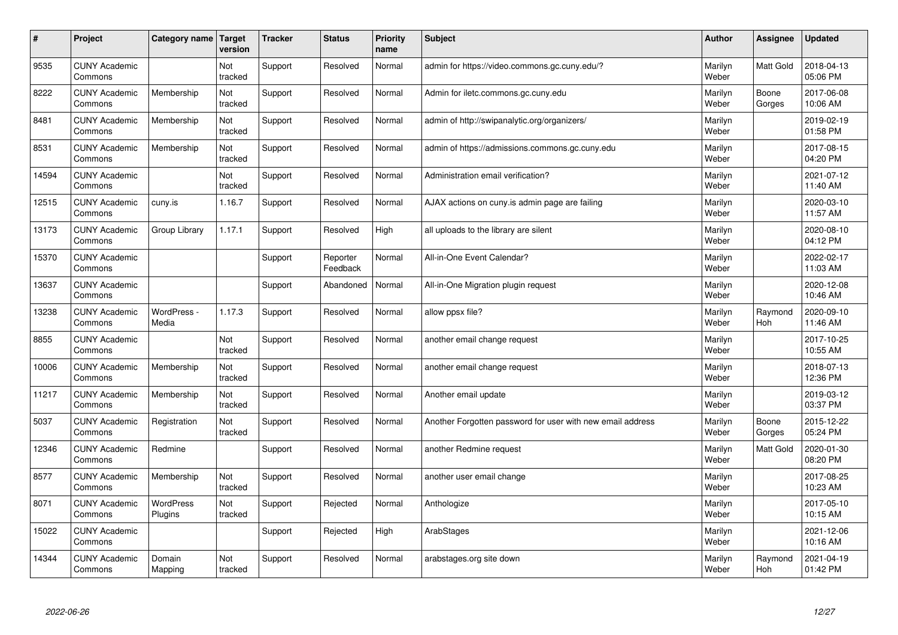| #     | Project                         | Category name   Target | version        | <b>Tracker</b> | <b>Status</b>        | Priority<br>name | <b>Subject</b>                                             | <b>Author</b>    | <b>Assignee</b>  | <b>Updated</b>         |
|-------|---------------------------------|------------------------|----------------|----------------|----------------------|------------------|------------------------------------------------------------|------------------|------------------|------------------------|
| 9535  | <b>CUNY Academic</b><br>Commons |                        | Not<br>tracked | Support        | Resolved             | Normal           | admin for https://video.commons.gc.cuny.edu/?              | Marilyn<br>Weber | <b>Matt Gold</b> | 2018-04-13<br>05:06 PM |
| 8222  | <b>CUNY Academic</b><br>Commons | Membership             | Not<br>tracked | Support        | Resolved             | Normal           | Admin for iletc.commons.gc.cuny.edu                        | Marilyn<br>Weber | Boone<br>Gorges  | 2017-06-08<br>10:06 AM |
| 8481  | <b>CUNY Academic</b><br>Commons | Membership             | Not<br>tracked | Support        | Resolved             | Normal           | admin of http://swipanalytic.org/organizers/               | Marilyn<br>Weber |                  | 2019-02-19<br>01:58 PM |
| 8531  | <b>CUNY Academic</b><br>Commons | Membership             | Not<br>tracked | Support        | Resolved             | Normal           | admin of https://admissions.commons.gc.cuny.edu            | Marilyn<br>Weber |                  | 2017-08-15<br>04:20 PM |
| 14594 | <b>CUNY Academic</b><br>Commons |                        | Not<br>tracked | Support        | Resolved             | Normal           | Administration email verification?                         | Marilyn<br>Weber |                  | 2021-07-12<br>11:40 AM |
| 12515 | <b>CUNY Academic</b><br>Commons | cuny.is                | 1.16.7         | Support        | Resolved             | Normal           | AJAX actions on cuny is admin page are failing             | Marilyn<br>Weber |                  | 2020-03-10<br>11:57 AM |
| 13173 | <b>CUNY Academic</b><br>Commons | Group Library          | 1.17.1         | Support        | Resolved             | High             | all uploads to the library are silent                      | Marilyn<br>Weber |                  | 2020-08-10<br>04:12 PM |
| 15370 | <b>CUNY Academic</b><br>Commons |                        |                | Support        | Reporter<br>Feedback | Normal           | All-in-One Event Calendar?                                 | Marilyn<br>Weber |                  | 2022-02-17<br>11:03 AM |
| 13637 | <b>CUNY Academic</b><br>Commons |                        |                | Support        | Abandoned            | Normal           | All-in-One Migration plugin request                        | Marilyn<br>Weber |                  | 2020-12-08<br>10:46 AM |
| 13238 | <b>CUNY Academic</b><br>Commons | WordPress -<br>Media   | 1.17.3         | Support        | Resolved             | Normal           | allow ppsx file?                                           | Marilyn<br>Weber | Raymond<br>Hoh   | 2020-09-10<br>11:46 AM |
| 8855  | <b>CUNY Academic</b><br>Commons |                        | Not<br>tracked | Support        | Resolved             | Normal           | another email change request                               | Marilyn<br>Weber |                  | 2017-10-25<br>10:55 AM |
| 10006 | <b>CUNY Academic</b><br>Commons | Membership             | Not<br>tracked | Support        | Resolved             | Normal           | another email change request                               | Marilyn<br>Weber |                  | 2018-07-13<br>12:36 PM |
| 11217 | <b>CUNY Academic</b><br>Commons | Membership             | Not<br>tracked | Support        | Resolved             | Normal           | Another email update                                       | Marilyn<br>Weber |                  | 2019-03-12<br>03:37 PM |
| 5037  | <b>CUNY Academic</b><br>Commons | Registration           | Not<br>tracked | Support        | Resolved             | Normal           | Another Forgotten password for user with new email address | Marilyn<br>Weber | Boone<br>Gorges  | 2015-12-22<br>05:24 PM |
| 12346 | <b>CUNY Academic</b><br>Commons | Redmine                |                | Support        | Resolved             | Normal           | another Redmine request                                    | Marilyn<br>Weber | <b>Matt Gold</b> | 2020-01-30<br>08:20 PM |
| 8577  | <b>CUNY Academic</b><br>Commons | Membership             | Not<br>tracked | Support        | Resolved             | Normal           | another user email change                                  | Marilyn<br>Weber |                  | 2017-08-25<br>10:23 AM |
| 8071  | <b>CUNY Academic</b><br>Commons | WordPress<br>Plugins   | Not<br>tracked | Support        | Rejected             | Normal           | Anthologize                                                | Marilyn<br>Weber |                  | 2017-05-10<br>10:15 AM |
| 15022 | <b>CUNY Academic</b><br>Commons |                        |                | Support        | Rejected             | High             | ArabStages                                                 | Marilyn<br>Weber |                  | 2021-12-06<br>10:16 AM |
| 14344 | <b>CUNY Academic</b><br>Commons | Domain<br>Mapping      | Not<br>tracked | Support        | Resolved             | Normal           | arabstages.org site down                                   | Marilyn<br>Weber | Raymond<br>Hoh   | 2021-04-19<br>01:42 PM |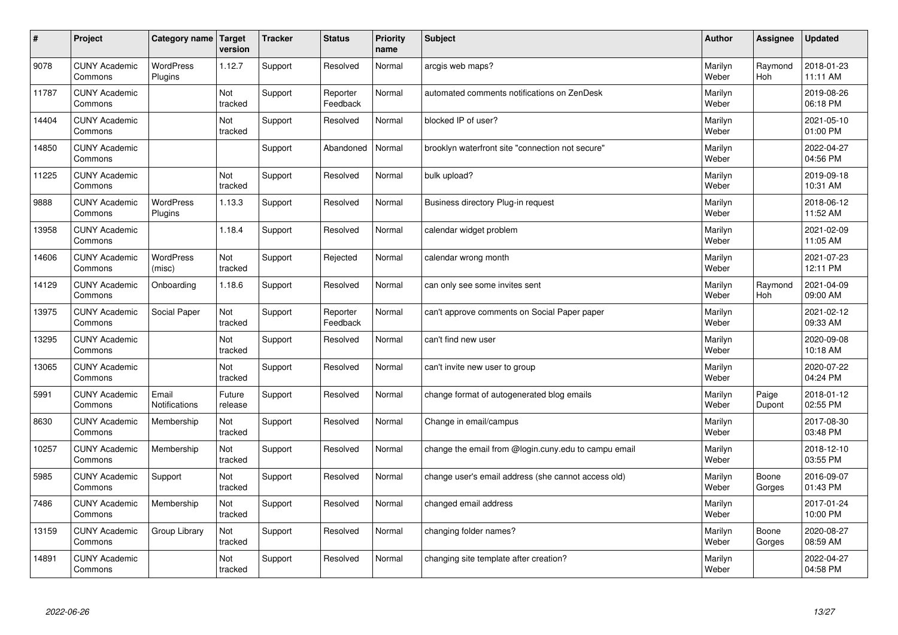| $\vert$ # | Project                         | Category name                 | Target<br>version | <b>Tracker</b> | <b>Status</b>        | <b>Priority</b><br>name | <b>Subject</b>                                       | <b>Author</b>    | Assignee              | <b>Updated</b>         |
|-----------|---------------------------------|-------------------------------|-------------------|----------------|----------------------|-------------------------|------------------------------------------------------|------------------|-----------------------|------------------------|
| 9078      | <b>CUNY Academic</b><br>Commons | <b>WordPress</b><br>Plugins   | 1.12.7            | Support        | Resolved             | Normal                  | arcgis web maps?                                     | Marilyn<br>Weber | Raymond<br><b>Hoh</b> | 2018-01-23<br>11:11 AM |
| 11787     | <b>CUNY Academic</b><br>Commons |                               | Not<br>tracked    | Support        | Reporter<br>Feedback | Normal                  | automated comments notifications on ZenDesk          | Marilyn<br>Weber |                       | 2019-08-26<br>06:18 PM |
| 14404     | <b>CUNY Academic</b><br>Commons |                               | Not<br>tracked    | Support        | Resolved             | Normal                  | blocked IP of user?                                  | Marilyn<br>Weber |                       | 2021-05-10<br>01:00 PM |
| 14850     | <b>CUNY Academic</b><br>Commons |                               |                   | Support        | Abandoned            | Normal                  | brooklyn waterfront site "connection not secure"     | Marilyn<br>Weber |                       | 2022-04-27<br>04:56 PM |
| 11225     | <b>CUNY Academic</b><br>Commons |                               | Not<br>tracked    | Support        | Resolved             | Normal                  | bulk upload?                                         | Marilyn<br>Weber |                       | 2019-09-18<br>10:31 AM |
| 9888      | <b>CUNY Academic</b><br>Commons | <b>WordPress</b><br>Plugins   | 1.13.3            | Support        | Resolved             | Normal                  | Business directory Plug-in request                   | Marilyn<br>Weber |                       | 2018-06-12<br>11:52 AM |
| 13958     | <b>CUNY Academic</b><br>Commons |                               | 1.18.4            | Support        | Resolved             | Normal                  | calendar widget problem                              | Marilyn<br>Weber |                       | 2021-02-09<br>11:05 AM |
| 14606     | <b>CUNY Academic</b><br>Commons | WordPress<br>(misc)           | Not<br>tracked    | Support        | Rejected             | Normal                  | calendar wrong month                                 | Marilyn<br>Weber |                       | 2021-07-23<br>12:11 PM |
| 14129     | <b>CUNY Academic</b><br>Commons | Onboarding                    | 1.18.6            | Support        | Resolved             | Normal                  | can only see some invites sent                       | Marilyn<br>Weber | Raymond<br>Hoh        | 2021-04-09<br>09:00 AM |
| 13975     | <b>CUNY Academic</b><br>Commons | Social Paper                  | Not<br>tracked    | Support        | Reporter<br>Feedback | Normal                  | can't approve comments on Social Paper paper         | Marilyn<br>Weber |                       | 2021-02-12<br>09:33 AM |
| 13295     | <b>CUNY Academic</b><br>Commons |                               | Not<br>tracked    | Support        | Resolved             | Normal                  | can't find new user                                  | Marilyn<br>Weber |                       | 2020-09-08<br>10:18 AM |
| 13065     | <b>CUNY Academic</b><br>Commons |                               | Not<br>tracked    | Support        | Resolved             | Normal                  | can't invite new user to group                       | Marilyn<br>Weber |                       | 2020-07-22<br>04:24 PM |
| 5991      | <b>CUNY Academic</b><br>Commons | Email<br><b>Notifications</b> | Future<br>release | Support        | Resolved             | Normal                  | change format of autogenerated blog emails           | Marilyn<br>Weber | Paige<br>Dupont       | 2018-01-12<br>02:55 PM |
| 8630      | <b>CUNY Academic</b><br>Commons | Membership                    | Not<br>tracked    | Support        | Resolved             | Normal                  | Change in email/campus                               | Marilyn<br>Weber |                       | 2017-08-30<br>03:48 PM |
| 10257     | <b>CUNY Academic</b><br>Commons | Membership                    | Not<br>tracked    | Support        | Resolved             | Normal                  | change the email from @login.cuny.edu to campu email | Marilyn<br>Weber |                       | 2018-12-10<br>03:55 PM |
| 5985      | <b>CUNY Academic</b><br>Commons | Support                       | Not<br>tracked    | Support        | Resolved             | Normal                  | change user's email address (she cannot access old)  | Marilyn<br>Weber | Boone<br>Gorges       | 2016-09-07<br>01:43 PM |
| 7486      | <b>CUNY Academic</b><br>Commons | Membership                    | Not<br>tracked    | Support        | Resolved             | Normal                  | changed email address                                | Marilyn<br>Weber |                       | 2017-01-24<br>10:00 PM |
| 13159     | <b>CUNY Academic</b><br>Commons | Group Library                 | Not<br>tracked    | Support        | Resolved             | Normal                  | changing folder names?                               | Marilyn<br>Weber | Boone<br>Gorges       | 2020-08-27<br>08:59 AM |
| 14891     | <b>CUNY Academic</b><br>Commons |                               | Not<br>tracked    | Support        | Resolved             | Normal                  | changing site template after creation?               | Marilyn<br>Weber |                       | 2022-04-27<br>04:58 PM |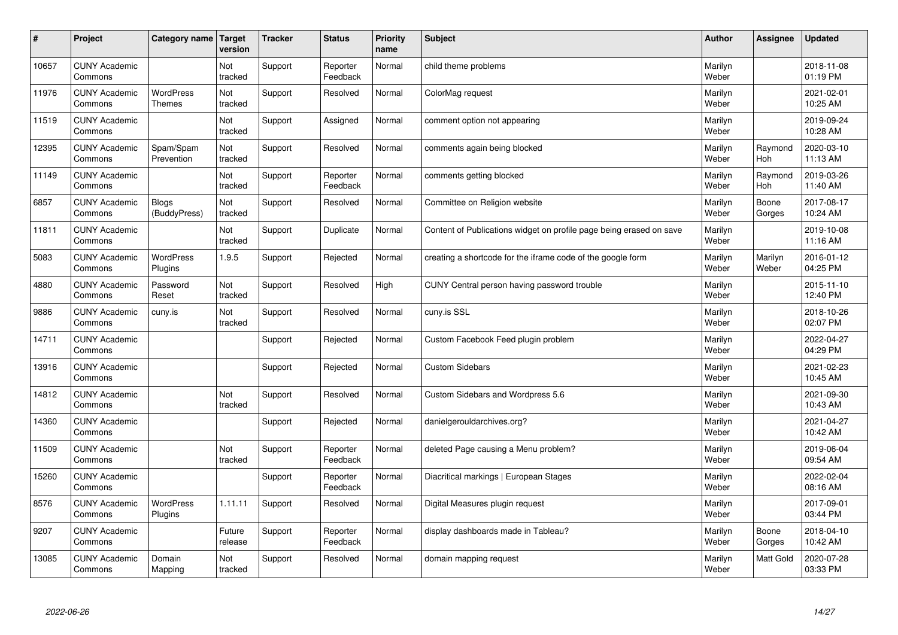| $\vert$ # | Project                         | Category name                     | <b>Target</b><br>version | <b>Tracker</b> | <b>Status</b>        | <b>Priority</b><br>name | <b>Subject</b>                                                      | <b>Author</b>    | Assignee         | <b>Updated</b>         |
|-----------|---------------------------------|-----------------------------------|--------------------------|----------------|----------------------|-------------------------|---------------------------------------------------------------------|------------------|------------------|------------------------|
| 10657     | <b>CUNY Academic</b><br>Commons |                                   | Not<br>tracked           | Support        | Reporter<br>Feedback | Normal                  | child theme problems                                                | Marilyn<br>Weber |                  | 2018-11-08<br>01:19 PM |
| 11976     | <b>CUNY Academic</b><br>Commons | <b>WordPress</b><br><b>Themes</b> | Not<br>tracked           | Support        | Resolved             | Normal                  | ColorMag request                                                    | Marilyn<br>Weber |                  | 2021-02-01<br>10:25 AM |
| 11519     | <b>CUNY Academic</b><br>Commons |                                   | Not<br>tracked           | Support        | Assigned             | Normal                  | comment option not appearing                                        | Marilyn<br>Weber |                  | 2019-09-24<br>10:28 AM |
| 12395     | <b>CUNY Academic</b><br>Commons | Spam/Spam<br>Prevention           | Not<br>tracked           | Support        | Resolved             | Normal                  | comments again being blocked                                        | Marilyn<br>Weber | Raymond<br>Hoh   | 2020-03-10<br>11:13 AM |
| 11149     | <b>CUNY Academic</b><br>Commons |                                   | <b>Not</b><br>tracked    | Support        | Reporter<br>Feedback | Normal                  | comments getting blocked                                            | Marilyn<br>Weber | Raymond<br>Hoh   | 2019-03-26<br>11:40 AM |
| 6857      | <b>CUNY Academic</b><br>Commons | <b>Blogs</b><br>(BuddyPress)      | Not<br>tracked           | Support        | Resolved             | Normal                  | Committee on Religion website                                       | Marilyn<br>Weber | Boone<br>Gorges  | 2017-08-17<br>10:24 AM |
| 11811     | <b>CUNY Academic</b><br>Commons |                                   | Not<br>tracked           | Support        | Duplicate            | Normal                  | Content of Publications widget on profile page being erased on save | Marilyn<br>Weber |                  | 2019-10-08<br>11:16 AM |
| 5083      | <b>CUNY Academic</b><br>Commons | <b>WordPress</b><br>Plugins       | 1.9.5                    | Support        | Rejected             | Normal                  | creating a shortcode for the iframe code of the google form         | Marilyn<br>Weber | Marilyn<br>Weber | 2016-01-12<br>04:25 PM |
| 4880      | <b>CUNY Academic</b><br>Commons | Password<br>Reset                 | Not<br>tracked           | Support        | Resolved             | High                    | CUNY Central person having password trouble                         | Marilyn<br>Weber |                  | 2015-11-10<br>12:40 PM |
| 9886      | <b>CUNY Academic</b><br>Commons | cuny.is                           | Not<br>tracked           | Support        | Resolved             | Normal                  | cuny.is SSL                                                         | Marilyn<br>Weber |                  | 2018-10-26<br>02:07 PM |
| 14711     | <b>CUNY Academic</b><br>Commons |                                   |                          | Support        | Rejected             | Normal                  | Custom Facebook Feed plugin problem                                 | Marilyn<br>Weber |                  | 2022-04-27<br>04:29 PM |
| 13916     | <b>CUNY Academic</b><br>Commons |                                   |                          | Support        | Rejected             | Normal                  | <b>Custom Sidebars</b>                                              | Marilyn<br>Weber |                  | 2021-02-23<br>10:45 AM |
| 14812     | <b>CUNY Academic</b><br>Commons |                                   | Not<br>tracked           | Support        | Resolved             | Normal                  | Custom Sidebars and Wordpress 5.6                                   | Marilyn<br>Weber |                  | 2021-09-30<br>10:43 AM |
| 14360     | <b>CUNY Academic</b><br>Commons |                                   |                          | Support        | Rejected             | Normal                  | danielgerouldarchives.org?                                          | Marilyn<br>Weber |                  | 2021-04-27<br>10:42 AM |
| 11509     | <b>CUNY Academic</b><br>Commons |                                   | Not<br>tracked           | Support        | Reporter<br>Feedback | Normal                  | deleted Page causing a Menu problem?                                | Marilyn<br>Weber |                  | 2019-06-04<br>09:54 AM |
| 15260     | <b>CUNY Academic</b><br>Commons |                                   |                          | Support        | Reporter<br>Feedback | Normal                  | Diacritical markings   European Stages                              | Marilyn<br>Weber |                  | 2022-02-04<br>08:16 AM |
| 8576      | <b>CUNY Academic</b><br>Commons | WordPress<br>Plugins              | 1.11.11                  | Support        | Resolved             | Normal                  | Digital Measures plugin request                                     | Marilyn<br>Weber |                  | 2017-09-01<br>03:44 PM |
| 9207      | <b>CUNY Academic</b><br>Commons |                                   | Future<br>release        | Support        | Reporter<br>Feedback | Normal                  | display dashboards made in Tableau?                                 | Marilyn<br>Weber | Boone<br>Gorges  | 2018-04-10<br>10:42 AM |
| 13085     | <b>CUNY Academic</b><br>Commons | Domain<br>Mapping                 | Not<br>tracked           | Support        | Resolved             | Normal                  | domain mapping request                                              | Marilyn<br>Weber | Matt Gold        | 2020-07-28<br>03:33 PM |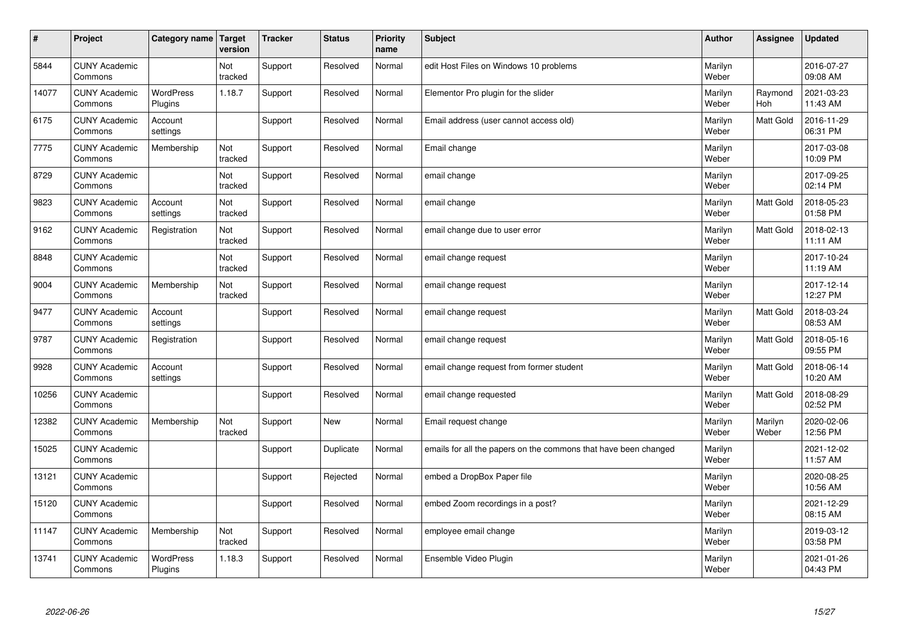| $\sharp$ | Project                         | Category name               | Target<br>version | <b>Tracker</b> | <b>Status</b> | <b>Priority</b><br>name | <b>Subject</b>                                                  | <b>Author</b>    | Assignee         | Updated                |
|----------|---------------------------------|-----------------------------|-------------------|----------------|---------------|-------------------------|-----------------------------------------------------------------|------------------|------------------|------------------------|
| 5844     | <b>CUNY Academic</b><br>Commons |                             | Not<br>tracked    | Support        | Resolved      | Normal                  | edit Host Files on Windows 10 problems                          | Marilyn<br>Weber |                  | 2016-07-27<br>09:08 AM |
| 14077    | <b>CUNY Academic</b><br>Commons | <b>WordPress</b><br>Plugins | 1.18.7            | Support        | Resolved      | Normal                  | Elementor Pro plugin for the slider                             | Marilyn<br>Weber | Raymond<br>Hoh   | 2021-03-23<br>11:43 AM |
| 6175     | <b>CUNY Academic</b><br>Commons | Account<br>settings         |                   | Support        | Resolved      | Normal                  | Email address (user cannot access old)                          | Marilyn<br>Weber | <b>Matt Gold</b> | 2016-11-29<br>06:31 PM |
| 7775     | <b>CUNY Academic</b><br>Commons | Membership                  | Not<br>tracked    | Support        | Resolved      | Normal                  | Email change                                                    | Marilyn<br>Weber |                  | 2017-03-08<br>10:09 PM |
| 8729     | <b>CUNY Academic</b><br>Commons |                             | Not<br>tracked    | Support        | Resolved      | Normal                  | email change                                                    | Marilyn<br>Weber |                  | 2017-09-25<br>02:14 PM |
| 9823     | <b>CUNY Academic</b><br>Commons | Account<br>settings         | Not<br>tracked    | Support        | Resolved      | Normal                  | email change                                                    | Marilyn<br>Weber | Matt Gold        | 2018-05-23<br>01:58 PM |
| 9162     | <b>CUNY Academic</b><br>Commons | Registration                | Not<br>tracked    | Support        | Resolved      | Normal                  | email change due to user error                                  | Marilyn<br>Weber | Matt Gold        | 2018-02-13<br>11:11 AM |
| 8848     | <b>CUNY Academic</b><br>Commons |                             | Not<br>tracked    | Support        | Resolved      | Normal                  | email change request                                            | Marilyn<br>Weber |                  | 2017-10-24<br>11:19 AM |
| 9004     | <b>CUNY Academic</b><br>Commons | Membership                  | Not<br>tracked    | Support        | Resolved      | Normal                  | email change request                                            | Marilyn<br>Weber |                  | 2017-12-14<br>12:27 PM |
| 9477     | <b>CUNY Academic</b><br>Commons | Account<br>settings         |                   | Support        | Resolved      | Normal                  | email change request                                            | Marilyn<br>Weber | <b>Matt Gold</b> | 2018-03-24<br>08:53 AM |
| 9787     | <b>CUNY Academic</b><br>Commons | Registration                |                   | Support        | Resolved      | Normal                  | email change request                                            | Marilyn<br>Weber | <b>Matt Gold</b> | 2018-05-16<br>09:55 PM |
| 9928     | <b>CUNY Academic</b><br>Commons | Account<br>settings         |                   | Support        | Resolved      | Normal                  | email change request from former student                        | Marilyn<br>Weber | <b>Matt Gold</b> | 2018-06-14<br>10:20 AM |
| 10256    | <b>CUNY Academic</b><br>Commons |                             |                   | Support        | Resolved      | Normal                  | email change requested                                          | Marilyn<br>Weber | <b>Matt Gold</b> | 2018-08-29<br>02:52 PM |
| 12382    | <b>CUNY Academic</b><br>Commons | Membership                  | Not<br>tracked    | Support        | <b>New</b>    | Normal                  | Email request change                                            | Marilyn<br>Weber | Marilyn<br>Weber | 2020-02-06<br>12:56 PM |
| 15025    | <b>CUNY Academic</b><br>Commons |                             |                   | Support        | Duplicate     | Normal                  | emails for all the papers on the commons that have been changed | Marilyn<br>Weber |                  | 2021-12-02<br>11:57 AM |
| 13121    | <b>CUNY Academic</b><br>Commons |                             |                   | Support        | Rejected      | Normal                  | embed a DropBox Paper file                                      | Marilyn<br>Weber |                  | 2020-08-25<br>10:56 AM |
| 15120    | <b>CUNY Academic</b><br>Commons |                             |                   | Support        | Resolved      | Normal                  | embed Zoom recordings in a post?                                | Marilyn<br>Weber |                  | 2021-12-29<br>08:15 AM |
| 11147    | <b>CUNY Academic</b><br>Commons | Membership                  | Not<br>tracked    | Support        | Resolved      | Normal                  | employee email change                                           | Marilyn<br>Weber |                  | 2019-03-12<br>03:58 PM |
| 13741    | <b>CUNY Academic</b><br>Commons | <b>WordPress</b><br>Plugins | 1.18.3            | Support        | Resolved      | Normal                  | Ensemble Video Plugin                                           | Marilyn<br>Weber |                  | 2021-01-26<br>04:43 PM |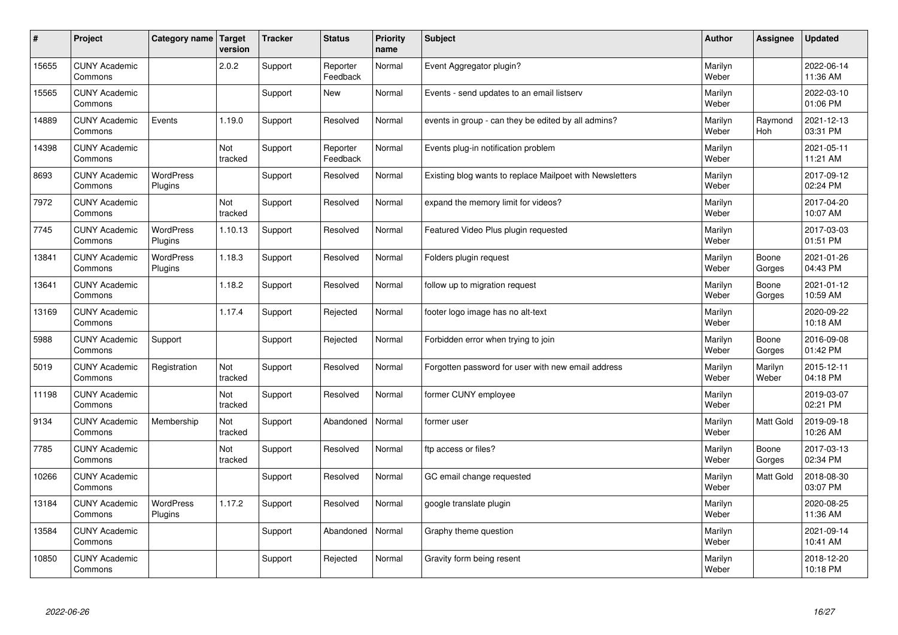| $\sharp$ | Project                         | Category name   Target      | version        | <b>Tracker</b> | <b>Status</b>        | <b>Priority</b><br>name | <b>Subject</b>                                           | <b>Author</b>    | Assignee         | <b>Updated</b>         |
|----------|---------------------------------|-----------------------------|----------------|----------------|----------------------|-------------------------|----------------------------------------------------------|------------------|------------------|------------------------|
| 15655    | <b>CUNY Academic</b><br>Commons |                             | 2.0.2          | Support        | Reporter<br>Feedback | Normal                  | Event Aggregator plugin?                                 | Marilyn<br>Weber |                  | 2022-06-14<br>11:36 AM |
| 15565    | <b>CUNY Academic</b><br>Commons |                             |                | Support        | <b>New</b>           | Normal                  | Events - send updates to an email listserv               | Marilyn<br>Weber |                  | 2022-03-10<br>01:06 PM |
| 14889    | <b>CUNY Academic</b><br>Commons | Events                      | 1.19.0         | Support        | Resolved             | Normal                  | events in group - can they be edited by all admins?      | Marilyn<br>Weber | Raymond<br>Hoh   | 2021-12-13<br>03:31 PM |
| 14398    | <b>CUNY Academic</b><br>Commons |                             | Not<br>tracked | Support        | Reporter<br>Feedback | Normal                  | Events plug-in notification problem                      | Marilyn<br>Weber |                  | 2021-05-11<br>11:21 AM |
| 8693     | <b>CUNY Academic</b><br>Commons | <b>WordPress</b><br>Plugins |                | Support        | Resolved             | Normal                  | Existing blog wants to replace Mailpoet with Newsletters | Marilyn<br>Weber |                  | 2017-09-12<br>02:24 PM |
| 7972     | <b>CUNY Academic</b><br>Commons |                             | Not<br>tracked | Support        | Resolved             | Normal                  | expand the memory limit for videos?                      | Marilyn<br>Weber |                  | 2017-04-20<br>10:07 AM |
| 7745     | <b>CUNY Academic</b><br>Commons | <b>WordPress</b><br>Plugins | 1.10.13        | Support        | Resolved             | Normal                  | Featured Video Plus plugin requested                     | Marilyn<br>Weber |                  | 2017-03-03<br>01:51 PM |
| 13841    | <b>CUNY Academic</b><br>Commons | WordPress<br>Plugins        | 1.18.3         | Support        | Resolved             | Normal                  | Folders plugin request                                   | Marilyn<br>Weber | Boone<br>Gorges  | 2021-01-26<br>04:43 PM |
| 13641    | <b>CUNY Academic</b><br>Commons |                             | 1.18.2         | Support        | Resolved             | Normal                  | follow up to migration request                           | Marilyn<br>Weber | Boone<br>Gorges  | 2021-01-12<br>10:59 AM |
| 13169    | <b>CUNY Academic</b><br>Commons |                             | 1.17.4         | Support        | Rejected             | Normal                  | footer logo image has no alt-text                        | Marilyn<br>Weber |                  | 2020-09-22<br>10:18 AM |
| 5988     | <b>CUNY Academic</b><br>Commons | Support                     |                | Support        | Rejected             | Normal                  | Forbidden error when trying to join                      | Marilyn<br>Weber | Boone<br>Gorges  | 2016-09-08<br>01:42 PM |
| 5019     | <b>CUNY Academic</b><br>Commons | Registration                | Not<br>tracked | Support        | Resolved             | Normal                  | Forgotten password for user with new email address       | Marilyn<br>Weber | Marilyn<br>Weber | 2015-12-11<br>04:18 PM |
| 11198    | <b>CUNY Academic</b><br>Commons |                             | Not<br>tracked | Support        | Resolved             | Normal                  | former CUNY employee                                     | Marilyn<br>Weber |                  | 2019-03-07<br>02:21 PM |
| 9134     | <b>CUNY Academic</b><br>Commons | Membership                  | Not<br>tracked | Support        | Abandoned            | Normal                  | former user                                              | Marilyn<br>Weber | <b>Matt Gold</b> | 2019-09-18<br>10:26 AM |
| 7785     | <b>CUNY Academic</b><br>Commons |                             | Not<br>tracked | Support        | Resolved             | Normal                  | ftp access or files?                                     | Marilyn<br>Weber | Boone<br>Gorges  | 2017-03-13<br>02:34 PM |
| 10266    | <b>CUNY Academic</b><br>Commons |                             |                | Support        | Resolved             | Normal                  | GC email change requested                                | Marilyn<br>Weber | <b>Matt Gold</b> | 2018-08-30<br>03:07 PM |
| 13184    | <b>CUNY Academic</b><br>Commons | WordPress<br>Plugins        | 1.17.2         | Support        | Resolved             | Normal                  | google translate plugin                                  | Marilyn<br>Weber |                  | 2020-08-25<br>11:36 AM |
| 13584    | <b>CUNY Academic</b><br>Commons |                             |                | Support        | Abandoned            | Normal                  | Graphy theme question                                    | Marilyn<br>Weber |                  | 2021-09-14<br>10:41 AM |
| 10850    | <b>CUNY Academic</b><br>Commons |                             |                | Support        | Rejected             | Normal                  | Gravity form being resent                                | Marilyn<br>Weber |                  | 2018-12-20<br>10:18 PM |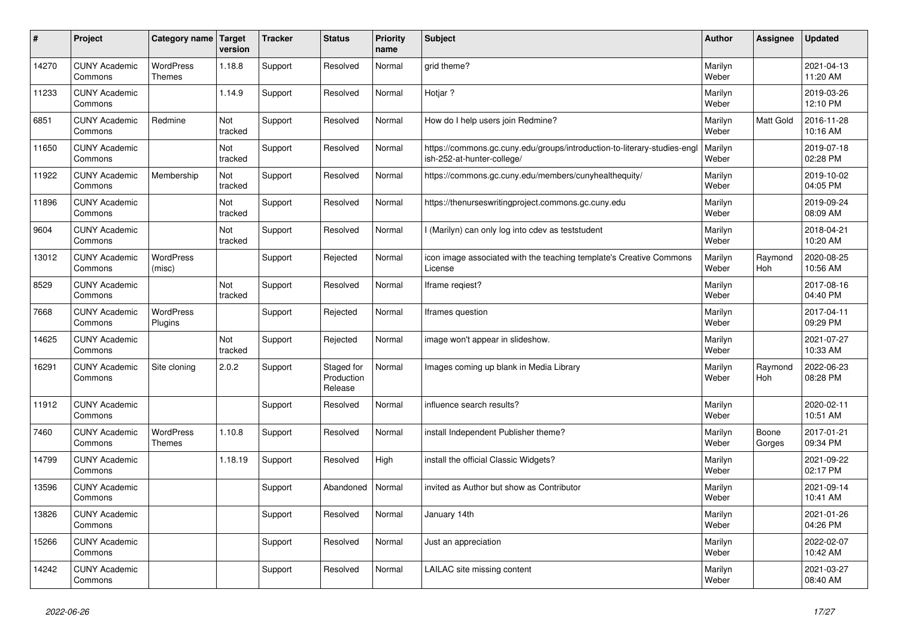| $\vert$ # | Project                         | Category name                     | Target<br>version | <b>Tracker</b> | <b>Status</b>                       | <b>Priority</b><br>name | <b>Subject</b>                                                                                        | <b>Author</b>    | Assignee              | <b>Updated</b>         |
|-----------|---------------------------------|-----------------------------------|-------------------|----------------|-------------------------------------|-------------------------|-------------------------------------------------------------------------------------------------------|------------------|-----------------------|------------------------|
| 14270     | <b>CUNY Academic</b><br>Commons | <b>WordPress</b><br><b>Themes</b> | 1.18.8            | Support        | Resolved                            | Normal                  | grid theme?                                                                                           | Marilyn<br>Weber |                       | 2021-04-13<br>11:20 AM |
| 11233     | <b>CUNY Academic</b><br>Commons |                                   | 1.14.9            | Support        | Resolved                            | Normal                  | Hotjar ?                                                                                              | Marilyn<br>Weber |                       | 2019-03-26<br>12:10 PM |
| 6851      | <b>CUNY Academic</b><br>Commons | Redmine                           | Not<br>tracked    | Support        | Resolved                            | Normal                  | How do I help users join Redmine?                                                                     | Marilyn<br>Weber | <b>Matt Gold</b>      | 2016-11-28<br>10:16 AM |
| 11650     | <b>CUNY Academic</b><br>Commons |                                   | Not<br>tracked    | Support        | Resolved                            | Normal                  | https://commons.gc.cuny.edu/groups/introduction-to-literary-studies-eng<br>ish-252-at-hunter-college/ | Marilyn<br>Weber |                       | 2019-07-18<br>02:28 PM |
| 11922     | <b>CUNY Academic</b><br>Commons | Membership                        | Not<br>tracked    | Support        | Resolved                            | Normal                  | https://commons.gc.cuny.edu/members/cunyhealthequity/                                                 | Marilyn<br>Weber |                       | 2019-10-02<br>04:05 PM |
| 11896     | <b>CUNY Academic</b><br>Commons |                                   | Not<br>tracked    | Support        | Resolved                            | Normal                  | https://thenurseswritingproject.commons.gc.cuny.edu                                                   | Marilyn<br>Weber |                       | 2019-09-24<br>08:09 AM |
| 9604      | <b>CUNY Academic</b><br>Commons |                                   | Not<br>tracked    | Support        | Resolved                            | Normal                  | I (Marilyn) can only log into cdev as teststudent                                                     | Marilyn<br>Weber |                       | 2018-04-21<br>10:20 AM |
| 13012     | <b>CUNY Academic</b><br>Commons | WordPress<br>(misc)               |                   | Support        | Rejected                            | Normal                  | icon image associated with the teaching template's Creative Commons<br>License                        | Marilyn<br>Weber | Raymond<br><b>Hoh</b> | 2020-08-25<br>10:56 AM |
| 8529      | <b>CUNY Academic</b><br>Commons |                                   | Not<br>tracked    | Support        | Resolved                            | Normal                  | Iframe regiest?                                                                                       | Marilyn<br>Weber |                       | 2017-08-16<br>04:40 PM |
| 7668      | <b>CUNY Academic</b><br>Commons | <b>WordPress</b><br>Plugins       |                   | Support        | Rejected                            | Normal                  | Iframes question                                                                                      | Marilyn<br>Weber |                       | 2017-04-11<br>09:29 PM |
| 14625     | <b>CUNY Academic</b><br>Commons |                                   | Not<br>tracked    | Support        | Rejected                            | Normal                  | image won't appear in slideshow.                                                                      | Marilyn<br>Weber |                       | 2021-07-27<br>10:33 AM |
| 16291     | <b>CUNY Academic</b><br>Commons | Site cloning                      | 2.0.2             | Support        | Staged for<br>Production<br>Release | Normal                  | Images coming up blank in Media Library                                                               | Marilyn<br>Weber | Raymond<br><b>Hoh</b> | 2022-06-23<br>08:28 PM |
| 11912     | <b>CUNY Academic</b><br>Commons |                                   |                   | Support        | Resolved                            | Normal                  | influence search results?                                                                             | Marilyn<br>Weber |                       | 2020-02-11<br>10:51 AM |
| 7460      | <b>CUNY Academic</b><br>Commons | <b>WordPress</b><br><b>Themes</b> | 1.10.8            | Support        | Resolved                            | Normal                  | install Independent Publisher theme?                                                                  | Marilyn<br>Weber | Boone<br>Gorges       | 2017-01-21<br>09:34 PM |
| 14799     | <b>CUNY Academic</b><br>Commons |                                   | 1.18.19           | Support        | Resolved                            | High                    | install the official Classic Widgets?                                                                 | Marilyn<br>Weber |                       | 2021-09-22<br>02:17 PM |
| 13596     | <b>CUNY Academic</b><br>Commons |                                   |                   | Support        | Abandoned                           | Normal                  | invited as Author but show as Contributor                                                             | Marilyn<br>Weber |                       | 2021-09-14<br>10:41 AM |
| 13826     | <b>CUNY Academic</b><br>Commons |                                   |                   | Support        | Resolved                            | Normal                  | January 14th                                                                                          | Marilyn<br>Weber |                       | 2021-01-26<br>04:26 PM |
| 15266     | <b>CUNY Academic</b><br>Commons |                                   |                   | Support        | Resolved                            | Normal                  | Just an appreciation                                                                                  | Marilyn<br>Weber |                       | 2022-02-07<br>10:42 AM |
| 14242     | <b>CUNY Academic</b><br>Commons |                                   |                   | Support        | Resolved                            | Normal                  | LAILAC site missing content                                                                           | Marilyn<br>Weber |                       | 2021-03-27<br>08:40 AM |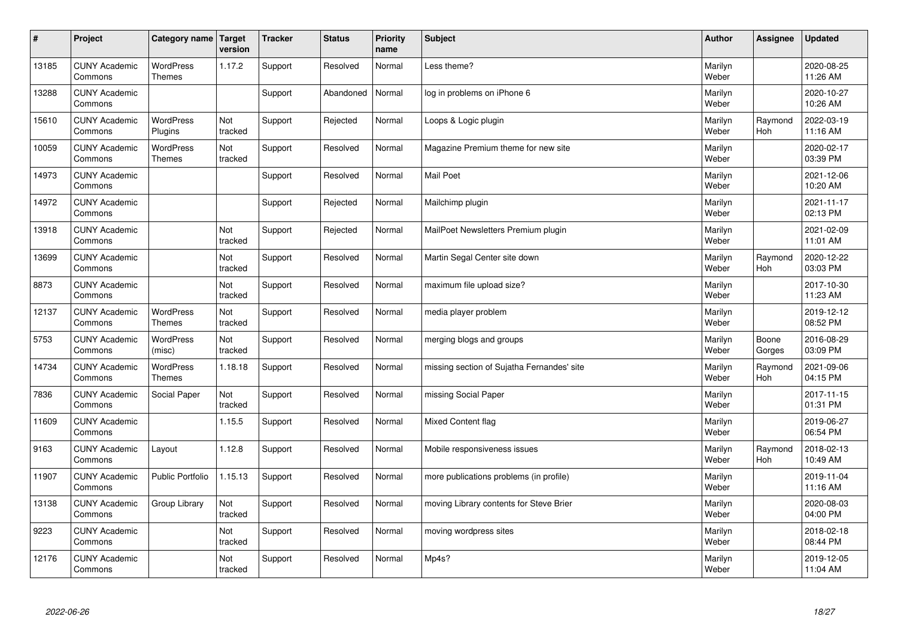| $\sharp$ | Project                         | Category name   Target            | version        | <b>Tracker</b> | <b>Status</b> | <b>Priority</b><br>name | <b>Subject</b>                             | <b>Author</b>    | <b>Assignee</b>       | <b>Updated</b>         |
|----------|---------------------------------|-----------------------------------|----------------|----------------|---------------|-------------------------|--------------------------------------------|------------------|-----------------------|------------------------|
| 13185    | <b>CUNY Academic</b><br>Commons | <b>WordPress</b><br><b>Themes</b> | 1.17.2         | Support        | Resolved      | Normal                  | Less theme?                                | Marilyn<br>Weber |                       | 2020-08-25<br>11:26 AM |
| 13288    | <b>CUNY Academic</b><br>Commons |                                   |                | Support        | Abandoned     | Normal                  | log in problems on iPhone 6                | Marilyn<br>Weber |                       | 2020-10-27<br>10:26 AM |
| 15610    | <b>CUNY Academic</b><br>Commons | <b>WordPress</b><br>Plugins       | Not<br>tracked | Support        | Rejected      | Normal                  | Loops & Logic plugin                       | Marilyn<br>Weber | Raymond<br>Hoh        | 2022-03-19<br>11:16 AM |
| 10059    | <b>CUNY Academic</b><br>Commons | <b>WordPress</b><br><b>Themes</b> | Not<br>tracked | Support        | Resolved      | Normal                  | Magazine Premium theme for new site        | Marilyn<br>Weber |                       | 2020-02-17<br>03:39 PM |
| 14973    | <b>CUNY Academic</b><br>Commons |                                   |                | Support        | Resolved      | Normal                  | <b>Mail Poet</b>                           | Marilyn<br>Weber |                       | 2021-12-06<br>10:20 AM |
| 14972    | <b>CUNY Academic</b><br>Commons |                                   |                | Support        | Rejected      | Normal                  | Mailchimp plugin                           | Marilyn<br>Weber |                       | 2021-11-17<br>02:13 PM |
| 13918    | <b>CUNY Academic</b><br>Commons |                                   | Not<br>tracked | Support        | Rejected      | Normal                  | MailPoet Newsletters Premium plugin        | Marilyn<br>Weber |                       | 2021-02-09<br>11:01 AM |
| 13699    | <b>CUNY Academic</b><br>Commons |                                   | Not<br>tracked | Support        | Resolved      | Normal                  | Martin Segal Center site down              | Marilyn<br>Weber | Raymond<br>Hoh        | 2020-12-22<br>03:03 PM |
| 8873     | <b>CUNY Academic</b><br>Commons |                                   | Not<br>tracked | Support        | Resolved      | Normal                  | maximum file upload size?                  | Marilyn<br>Weber |                       | 2017-10-30<br>11:23 AM |
| 12137    | <b>CUNY Academic</b><br>Commons | <b>WordPress</b><br><b>Themes</b> | Not<br>tracked | Support        | Resolved      | Normal                  | media player problem                       | Marilyn<br>Weber |                       | 2019-12-12<br>08:52 PM |
| 5753     | <b>CUNY Academic</b><br>Commons | <b>WordPress</b><br>(misc)        | Not<br>tracked | Support        | Resolved      | Normal                  | merging blogs and groups                   | Marilyn<br>Weber | Boone<br>Gorges       | 2016-08-29<br>03:09 PM |
| 14734    | <b>CUNY Academic</b><br>Commons | WordPress<br><b>Themes</b>        | 1.18.18        | Support        | Resolved      | Normal                  | missing section of Sujatha Fernandes' site | Marilyn<br>Weber | Raymond<br><b>Hoh</b> | 2021-09-06<br>04:15 PM |
| 7836     | <b>CUNY Academic</b><br>Commons | Social Paper                      | Not<br>tracked | Support        | Resolved      | Normal                  | missing Social Paper                       | Marilyn<br>Weber |                       | 2017-11-15<br>01:31 PM |
| 11609    | <b>CUNY Academic</b><br>Commons |                                   | 1.15.5         | Support        | Resolved      | Normal                  | Mixed Content flag                         | Marilyn<br>Weber |                       | 2019-06-27<br>06:54 PM |
| 9163     | <b>CUNY Academic</b><br>Commons | Layout                            | 1.12.8         | Support        | Resolved      | Normal                  | Mobile responsiveness issues               | Marilyn<br>Weber | Raymond<br><b>Hoh</b> | 2018-02-13<br>10:49 AM |
| 11907    | <b>CUNY Academic</b><br>Commons | <b>Public Portfolio</b>           | 1.15.13        | Support        | Resolved      | Normal                  | more publications problems (in profile)    | Marilyn<br>Weber |                       | 2019-11-04<br>11:16 AM |
| 13138    | <b>CUNY Academic</b><br>Commons | Group Library                     | Not<br>tracked | Support        | Resolved      | Normal                  | moving Library contents for Steve Brier    | Marilyn<br>Weber |                       | 2020-08-03<br>04:00 PM |
| 9223     | <b>CUNY Academic</b><br>Commons |                                   | Not<br>tracked | Support        | Resolved      | Normal                  | moving wordpress sites                     | Marilyn<br>Weber |                       | 2018-02-18<br>08:44 PM |
| 12176    | <b>CUNY Academic</b><br>Commons |                                   | Not<br>tracked | Support        | Resolved      | Normal                  | Mp4s?                                      | Marilyn<br>Weber |                       | 2019-12-05<br>11:04 AM |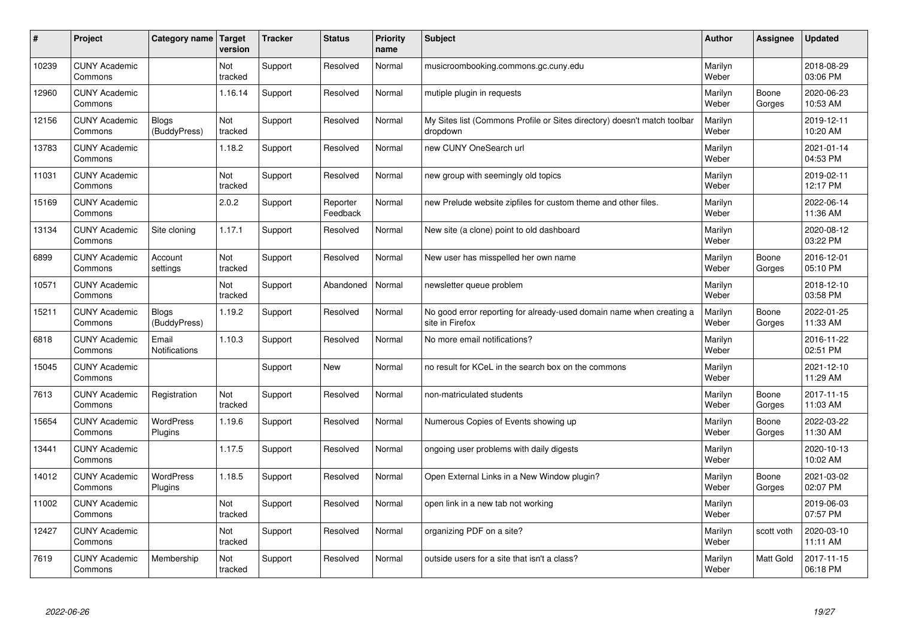| #     | Project                         | Category name   Target       | version        | <b>Tracker</b> | <b>Status</b>        | <b>Priority</b><br>name | <b>Subject</b>                                                                          | <b>Author</b>    | Assignee         | Updated                |
|-------|---------------------------------|------------------------------|----------------|----------------|----------------------|-------------------------|-----------------------------------------------------------------------------------------|------------------|------------------|------------------------|
| 10239 | <b>CUNY Academic</b><br>Commons |                              | Not<br>tracked | Support        | Resolved             | Normal                  | musicroombooking.commons.gc.cuny.edu                                                    | Marilyn<br>Weber |                  | 2018-08-29<br>03:06 PM |
| 12960 | <b>CUNY Academic</b><br>Commons |                              | 1.16.14        | Support        | Resolved             | Normal                  | mutiple plugin in requests                                                              | Marilyn<br>Weber | Boone<br>Gorges  | 2020-06-23<br>10:53 AM |
| 12156 | <b>CUNY Academic</b><br>Commons | <b>Blogs</b><br>(BuddyPress) | Not<br>tracked | Support        | Resolved             | Normal                  | My Sites list (Commons Profile or Sites directory) doesn't match toolbar<br>dropdown    | Marilyn<br>Weber |                  | 2019-12-11<br>10:20 AM |
| 13783 | <b>CUNY Academic</b><br>Commons |                              | 1.18.2         | Support        | Resolved             | Normal                  | new CUNY OneSearch url                                                                  | Marilyn<br>Weber |                  | 2021-01-14<br>04:53 PM |
| 11031 | <b>CUNY Academic</b><br>Commons |                              | Not<br>tracked | Support        | Resolved             | Normal                  | new group with seemingly old topics                                                     | Marilyn<br>Weber |                  | 2019-02-11<br>12:17 PM |
| 15169 | <b>CUNY Academic</b><br>Commons |                              | 2.0.2          | Support        | Reporter<br>Feedback | Normal                  | new Prelude website zipfiles for custom theme and other files.                          | Marilyn<br>Weber |                  | 2022-06-14<br>11:36 AM |
| 13134 | <b>CUNY Academic</b><br>Commons | Site cloning                 | 1.17.1         | Support        | Resolved             | Normal                  | New site (a clone) point to old dashboard                                               | Marilyn<br>Weber |                  | 2020-08-12<br>03:22 PM |
| 6899  | <b>CUNY Academic</b><br>Commons | Account<br>settings          | Not<br>tracked | Support        | Resolved             | Normal                  | New user has misspelled her own name                                                    | Marilyn<br>Weber | Boone<br>Gorges  | 2016-12-01<br>05:10 PM |
| 10571 | <b>CUNY Academic</b><br>Commons |                              | Not<br>tracked | Support        | Abandoned            | Normal                  | newsletter queue problem                                                                | Marilyn<br>Weber |                  | 2018-12-10<br>03:58 PM |
| 15211 | <b>CUNY Academic</b><br>Commons | <b>Blogs</b><br>(BuddyPress) | 1.19.2         | Support        | Resolved             | Normal                  | No good error reporting for already-used domain name when creating a<br>site in Firefox | Marilyn<br>Weber | Boone<br>Gorges  | 2022-01-25<br>11:33 AM |
| 6818  | <b>CUNY Academic</b><br>Commons | Email<br>Notifications       | 1.10.3         | Support        | Resolved             | Normal                  | No more email notifications?                                                            | Marilyn<br>Weber |                  | 2016-11-22<br>02:51 PM |
| 15045 | <b>CUNY Academic</b><br>Commons |                              |                | Support        | <b>New</b>           | Normal                  | no result for KCeL in the search box on the commons                                     | Marilyn<br>Weber |                  | 2021-12-10<br>11:29 AM |
| 7613  | <b>CUNY Academic</b><br>Commons | Registration                 | Not<br>tracked | Support        | Resolved             | Normal                  | non-matriculated students                                                               | Marilyn<br>Weber | Boone<br>Gorges  | 2017-11-15<br>11:03 AM |
| 15654 | <b>CUNY Academic</b><br>Commons | WordPress<br>Plugins         | 1.19.6         | Support        | Resolved             | Normal                  | Numerous Copies of Events showing up                                                    | Marilyn<br>Weber | Boone<br>Gorges  | 2022-03-22<br>11:30 AM |
| 13441 | <b>CUNY Academic</b><br>Commons |                              | 1.17.5         | Support        | Resolved             | Normal                  | ongoing user problems with daily digests                                                | Marilyn<br>Weber |                  | 2020-10-13<br>10:02 AM |
| 14012 | <b>CUNY Academic</b><br>Commons | <b>WordPress</b><br>Plugins  | 1.18.5         | Support        | Resolved             | Normal                  | Open External Links in a New Window plugin?                                             | Marilyn<br>Weber | Boone<br>Gorges  | 2021-03-02<br>02:07 PM |
| 11002 | <b>CUNY Academic</b><br>Commons |                              | Not<br>tracked | Support        | Resolved             | Normal                  | open link in a new tab not working                                                      | Marilyn<br>Weber |                  | 2019-06-03<br>07:57 PM |
| 12427 | <b>CUNY Academic</b><br>Commons |                              | Not<br>tracked | Support        | Resolved             | Normal                  | organizing PDF on a site?                                                               | Marilyn<br>Weber | scott voth       | 2020-03-10<br>11:11 AM |
| 7619  | <b>CUNY Academic</b><br>Commons | Membership                   | Not<br>tracked | Support        | Resolved             | Normal                  | outside users for a site that isn't a class?                                            | Marilyn<br>Weber | <b>Matt Gold</b> | 2017-11-15<br>06:18 PM |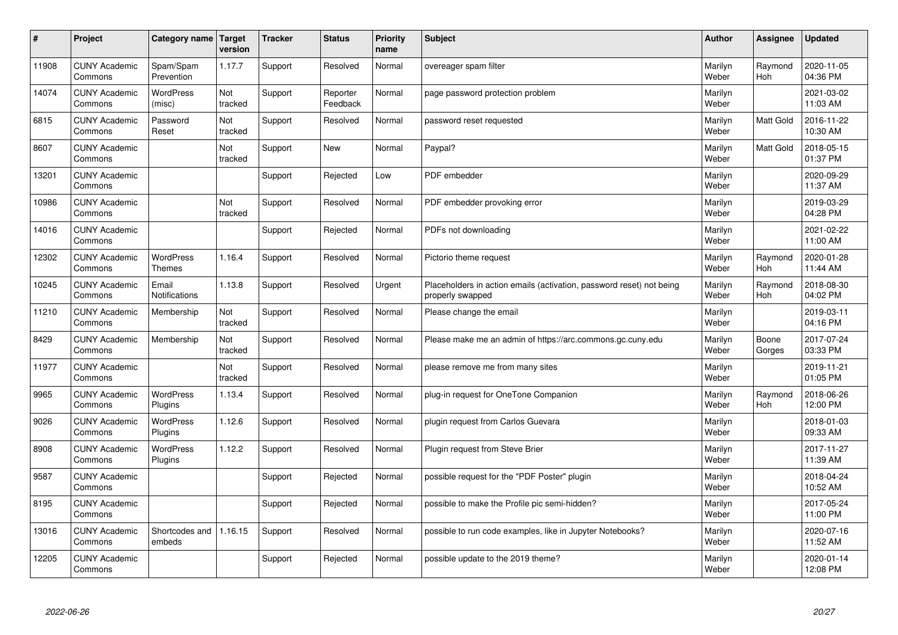| #     | Project                         | Category name   Target        | version        | <b>Tracker</b> | <b>Status</b>        | Priority<br>name | <b>Subject</b>                                                                           | <b>Author</b>    | Assignee              | <b>Updated</b>         |
|-------|---------------------------------|-------------------------------|----------------|----------------|----------------------|------------------|------------------------------------------------------------------------------------------|------------------|-----------------------|------------------------|
| 11908 | <b>CUNY Academic</b><br>Commons | Spam/Spam<br>Prevention       | 1.17.7         | Support        | Resolved             | Normal           | overeager spam filter                                                                    | Marilyn<br>Weber | Raymond<br><b>Hoh</b> | 2020-11-05<br>04:36 PM |
| 14074 | <b>CUNY Academic</b><br>Commons | WordPress<br>(misc)           | Not<br>tracked | Support        | Reporter<br>Feedback | Normal           | page password protection problem                                                         | Marilyn<br>Weber |                       | 2021-03-02<br>11:03 AM |
| 6815  | <b>CUNY Academic</b><br>Commons | Password<br>Reset             | Not<br>tracked | Support        | Resolved             | Normal           | password reset requested                                                                 | Marilyn<br>Weber | <b>Matt Gold</b>      | 2016-11-22<br>10:30 AM |
| 8607  | <b>CUNY Academic</b><br>Commons |                               | Not<br>tracked | Support        | <b>New</b>           | Normal           | Paypal?                                                                                  | Marilyn<br>Weber | Matt Gold             | 2018-05-15<br>01:37 PM |
| 13201 | <b>CUNY Academic</b><br>Commons |                               |                | Support        | Rejected             | Low              | PDF embedder                                                                             | Marilyn<br>Weber |                       | 2020-09-29<br>11:37 AM |
| 10986 | <b>CUNY Academic</b><br>Commons |                               | Not<br>tracked | Support        | Resolved             | Normal           | PDF embedder provoking error                                                             | Marilyn<br>Weber |                       | 2019-03-29<br>04:28 PM |
| 14016 | <b>CUNY Academic</b><br>Commons |                               |                | Support        | Rejected             | Normal           | PDFs not downloading                                                                     | Marilyn<br>Weber |                       | 2021-02-22<br>11:00 AM |
| 12302 | <b>CUNY Academic</b><br>Commons | WordPress<br><b>Themes</b>    | 1.16.4         | Support        | Resolved             | Normal           | Pictorio theme request                                                                   | Marilyn<br>Weber | Raymond<br><b>Hoh</b> | 2020-01-28<br>11:44 AM |
| 10245 | <b>CUNY Academic</b><br>Commons | Email<br><b>Notifications</b> | 1.13.8         | Support        | Resolved             | Urgent           | Placeholders in action emails (activation, password reset) not being<br>properly swapped | Marilyn<br>Weber | Raymond<br>Hoh        | 2018-08-30<br>04:02 PM |
| 11210 | <b>CUNY Academic</b><br>Commons | Membership                    | Not<br>tracked | Support        | Resolved             | Normal           | Please change the email                                                                  | Marilyn<br>Weber |                       | 2019-03-11<br>04:16 PM |
| 8429  | <b>CUNY Academic</b><br>Commons | Membership                    | Not<br>tracked | Support        | Resolved             | Normal           | Please make me an admin of https://arc.commons.gc.cuny.edu                               | Marilyn<br>Weber | Boone<br>Gorges       | 2017-07-24<br>03:33 PM |
| 11977 | <b>CUNY Academic</b><br>Commons |                               | Not<br>tracked | Support        | Resolved             | Normal           | please remove me from many sites                                                         | Marilyn<br>Weber |                       | 2019-11-21<br>01:05 PM |
| 9965  | <b>CUNY Academic</b><br>Commons | <b>WordPress</b><br>Plugins   | 1.13.4         | Support        | Resolved             | Normal           | plug-in request for OneTone Companion                                                    | Marilyn<br>Weber | Raymond<br>Hoh        | 2018-06-26<br>12:00 PM |
| 9026  | <b>CUNY Academic</b><br>Commons | WordPress<br>Plugins          | 1.12.6         | Support        | Resolved             | Normal           | plugin request from Carlos Guevara                                                       | Marilyn<br>Weber |                       | 2018-01-03<br>09:33 AM |
| 8908  | <b>CUNY Academic</b><br>Commons | <b>WordPress</b><br>Plugins   | 1.12.2         | Support        | Resolved             | Normal           | Plugin request from Steve Brier                                                          | Marilyn<br>Weber |                       | 2017-11-27<br>11:39 AM |
| 9587  | <b>CUNY Academic</b><br>Commons |                               |                | Support        | Rejected             | Normal           | possible request for the "PDF Poster" plugin                                             | Marilyn<br>Weber |                       | 2018-04-24<br>10:52 AM |
| 8195  | <b>CUNY Academic</b><br>Commons |                               |                | Support        | Rejected             | Normal           | possible to make the Profile pic semi-hidden?                                            | Marilyn<br>Weber |                       | 2017-05-24<br>11:00 PM |
| 13016 | <b>CUNY Academic</b><br>Commons | Shortcodes and<br>embeds      | 1.16.15        | Support        | Resolved             | Normal           | possible to run code examples, like in Jupyter Notebooks?                                | Marilyn<br>Weber |                       | 2020-07-16<br>11:52 AM |
| 12205 | <b>CUNY Academic</b><br>Commons |                               |                | Support        | Rejected             | Normal           | possible update to the 2019 theme?                                                       | Marilyn<br>Weber |                       | 2020-01-14<br>12:08 PM |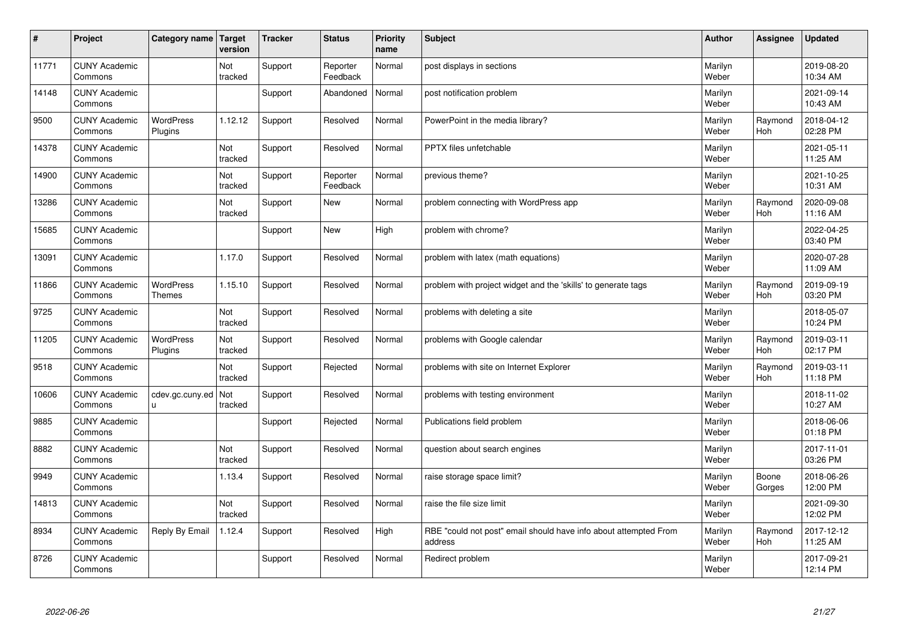| $\sharp$ | Project                         | Category name   Target      | version        | <b>Tracker</b> | <b>Status</b>        | <b>Priority</b><br>name | <b>Subject</b>                                                              | <b>Author</b>    | Assignee              | <b>Updated</b>         |
|----------|---------------------------------|-----------------------------|----------------|----------------|----------------------|-------------------------|-----------------------------------------------------------------------------|------------------|-----------------------|------------------------|
| 11771    | <b>CUNY Academic</b><br>Commons |                             | Not<br>tracked | Support        | Reporter<br>Feedback | Normal                  | post displays in sections                                                   | Marilyn<br>Weber |                       | 2019-08-20<br>10:34 AM |
| 14148    | <b>CUNY Academic</b><br>Commons |                             |                | Support        | Abandoned            | Normal                  | post notification problem                                                   | Marilyn<br>Weber |                       | 2021-09-14<br>10:43 AM |
| 9500     | <b>CUNY Academic</b><br>Commons | <b>WordPress</b><br>Plugins | 1.12.12        | Support        | Resolved             | Normal                  | PowerPoint in the media library?                                            | Marilyn<br>Weber | Raymond<br>Hoh        | 2018-04-12<br>02:28 PM |
| 14378    | <b>CUNY Academic</b><br>Commons |                             | Not<br>tracked | Support        | Resolved             | Normal                  | <b>PPTX</b> files unfetchable                                               | Marilyn<br>Weber |                       | 2021-05-11<br>11:25 AM |
| 14900    | <b>CUNY Academic</b><br>Commons |                             | Not<br>tracked | Support        | Reporter<br>Feedback | Normal                  | previous theme?                                                             | Marilyn<br>Weber |                       | 2021-10-25<br>10:31 AM |
| 13286    | <b>CUNY Academic</b><br>Commons |                             | Not<br>tracked | Support        | <b>New</b>           | Normal                  | problem connecting with WordPress app                                       | Marilyn<br>Weber | Raymond<br>Hoh        | 2020-09-08<br>11:16 AM |
| 15685    | <b>CUNY Academic</b><br>Commons |                             |                | Support        | <b>New</b>           | High                    | problem with chrome?                                                        | Marilyn<br>Weber |                       | 2022-04-25<br>03:40 PM |
| 13091    | <b>CUNY Academic</b><br>Commons |                             | 1.17.0         | Support        | Resolved             | Normal                  | problem with latex (math equations)                                         | Marilyn<br>Weber |                       | 2020-07-28<br>11:09 AM |
| 11866    | <b>CUNY Academic</b><br>Commons | WordPress<br><b>Themes</b>  | 1.15.10        | Support        | Resolved             | Normal                  | problem with project widget and the 'skills' to generate tags               | Marilyn<br>Weber | Raymond<br>Hoh        | 2019-09-19<br>03:20 PM |
| 9725     | <b>CUNY Academic</b><br>Commons |                             | Not<br>tracked | Support        | Resolved             | Normal                  | problems with deleting a site                                               | Marilyn<br>Weber |                       | 2018-05-07<br>10:24 PM |
| 11205    | <b>CUNY Academic</b><br>Commons | <b>WordPress</b><br>Plugins | Not<br>tracked | Support        | Resolved             | Normal                  | problems with Google calendar                                               | Marilyn<br>Weber | Raymond<br><b>Hoh</b> | 2019-03-11<br>02:17 PM |
| 9518     | <b>CUNY Academic</b><br>Commons |                             | Not<br>tracked | Support        | Rejected             | Normal                  | problems with site on Internet Explorer                                     | Marilyn<br>Weber | Raymond<br><b>Hoh</b> | 2019-03-11<br>11:18 PM |
| 10606    | <b>CUNY Academic</b><br>Commons | cdev.gc.cuny.ed<br>u.       | Not<br>tracked | Support        | Resolved             | Normal                  | problems with testing environment                                           | Marilyn<br>Weber |                       | 2018-11-02<br>10:27 AM |
| 9885     | <b>CUNY Academic</b><br>Commons |                             |                | Support        | Rejected             | Normal                  | Publications field problem                                                  | Marilyn<br>Weber |                       | 2018-06-06<br>01:18 PM |
| 8882     | <b>CUNY Academic</b><br>Commons |                             | Not<br>tracked | Support        | Resolved             | Normal                  | question about search engines                                               | Marilyn<br>Weber |                       | 2017-11-01<br>03:26 PM |
| 9949     | <b>CUNY Academic</b><br>Commons |                             | 1.13.4         | Support        | Resolved             | Normal                  | raise storage space limit?                                                  | Marilyn<br>Weber | Boone<br>Gorges       | 2018-06-26<br>12:00 PM |
| 14813    | <b>CUNY Academic</b><br>Commons |                             | Not<br>tracked | Support        | Resolved             | Normal                  | raise the file size limit                                                   | Marilyn<br>Weber |                       | 2021-09-30<br>12:02 PM |
| 8934     | <b>CUNY Academic</b><br>Commons | Reply By Email              | 1.12.4         | Support        | Resolved             | High                    | RBE "could not post" email should have info about attempted From<br>address | Marilyn<br>Weber | Raymond<br><b>Hoh</b> | 2017-12-12<br>11:25 AM |
| 8726     | <b>CUNY Academic</b><br>Commons |                             |                | Support        | Resolved             | Normal                  | Redirect problem                                                            | Marilyn<br>Weber |                       | 2017-09-21<br>12:14 PM |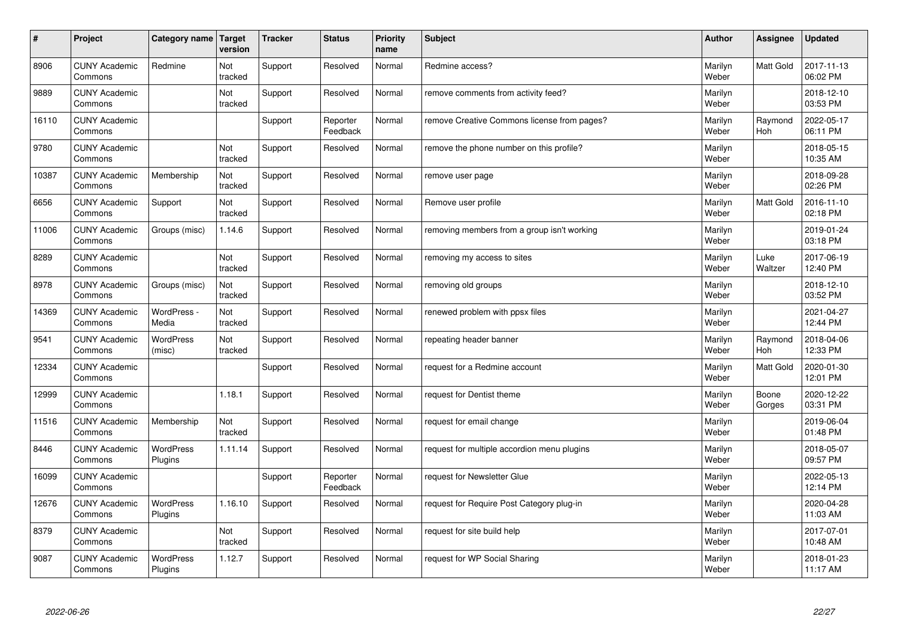| #     | Project                         | Category name   Target      | version        | <b>Tracker</b> | <b>Status</b>        | <b>Priority</b><br>name | <b>Subject</b>                              | <b>Author</b>    | Assignee              | Updated                |
|-------|---------------------------------|-----------------------------|----------------|----------------|----------------------|-------------------------|---------------------------------------------|------------------|-----------------------|------------------------|
| 8906  | <b>CUNY Academic</b><br>Commons | Redmine                     | Not<br>tracked | Support        | Resolved             | Normal                  | Redmine access?                             | Marilyn<br>Weber | <b>Matt Gold</b>      | 2017-11-13<br>06:02 PM |
| 9889  | <b>CUNY Academic</b><br>Commons |                             | Not<br>tracked | Support        | Resolved             | Normal                  | remove comments from activity feed?         | Marilyn<br>Weber |                       | 2018-12-10<br>03:53 PM |
| 16110 | <b>CUNY Academic</b><br>Commons |                             |                | Support        | Reporter<br>Feedback | Normal                  | remove Creative Commons license from pages? | Marilyn<br>Weber | Raymond<br><b>Hoh</b> | 2022-05-17<br>06:11 PM |
| 9780  | <b>CUNY Academic</b><br>Commons |                             | Not<br>tracked | Support        | Resolved             | Normal                  | remove the phone number on this profile?    | Marilyn<br>Weber |                       | 2018-05-15<br>10:35 AM |
| 10387 | <b>CUNY Academic</b><br>Commons | Membership                  | Not<br>tracked | Support        | Resolved             | Normal                  | remove user page                            | Marilyn<br>Weber |                       | 2018-09-28<br>02:26 PM |
| 6656  | <b>CUNY Academic</b><br>Commons | Support                     | Not<br>tracked | Support        | Resolved             | Normal                  | Remove user profile                         | Marilyn<br>Weber | <b>Matt Gold</b>      | 2016-11-10<br>02:18 PM |
| 11006 | <b>CUNY Academic</b><br>Commons | Groups (misc)               | 1.14.6         | Support        | Resolved             | Normal                  | removing members from a group isn't working | Marilyn<br>Weber |                       | 2019-01-24<br>03:18 PM |
| 8289  | <b>CUNY Academic</b><br>Commons |                             | Not<br>tracked | Support        | Resolved             | Normal                  | removing my access to sites                 | Marilyn<br>Weber | Luke<br>Waltzer       | 2017-06-19<br>12:40 PM |
| 8978  | <b>CUNY Academic</b><br>Commons | Groups (misc)               | Not<br>tracked | Support        | Resolved             | Normal                  | removing old groups                         | Marilyn<br>Weber |                       | 2018-12-10<br>03:52 PM |
| 14369 | <b>CUNY Academic</b><br>Commons | WordPress -<br>Media        | Not<br>tracked | Support        | Resolved             | Normal                  | renewed problem with ppsx files             | Marilyn<br>Weber |                       | 2021-04-27<br>12:44 PM |
| 9541  | <b>CUNY Academic</b><br>Commons | WordPress<br>(misc)         | Not<br>tracked | Support        | Resolved             | Normal                  | repeating header banner                     | Marilyn<br>Weber | Raymond<br>Hoh        | 2018-04-06<br>12:33 PM |
| 12334 | <b>CUNY Academic</b><br>Commons |                             |                | Support        | Resolved             | Normal                  | request for a Redmine account               | Marilyn<br>Weber | <b>Matt Gold</b>      | 2020-01-30<br>12:01 PM |
| 12999 | <b>CUNY Academic</b><br>Commons |                             | 1.18.1         | Support        | Resolved             | Normal                  | request for Dentist theme                   | Marilyn<br>Weber | Boone<br>Gorges       | 2020-12-22<br>03:31 PM |
| 11516 | <b>CUNY Academic</b><br>Commons | Membership                  | Not<br>tracked | Support        | Resolved             | Normal                  | request for email change                    | Marilyn<br>Weber |                       | 2019-06-04<br>01:48 PM |
| 8446  | <b>CUNY Academic</b><br>Commons | <b>WordPress</b><br>Plugins | 1.11.14        | Support        | Resolved             | Normal                  | request for multiple accordion menu plugins | Marilyn<br>Weber |                       | 2018-05-07<br>09:57 PM |
| 16099 | <b>CUNY Academic</b><br>Commons |                             |                | Support        | Reporter<br>Feedback | Normal                  | request for Newsletter Glue                 | Marilyn<br>Weber |                       | 2022-05-13<br>12:14 PM |
| 12676 | <b>CUNY Academic</b><br>Commons | WordPress<br>Plugins        | 1.16.10        | Support        | Resolved             | Normal                  | request for Require Post Category plug-in   | Marilyn<br>Weber |                       | 2020-04-28<br>11:03 AM |
| 8379  | <b>CUNY Academic</b><br>Commons |                             | Not<br>tracked | Support        | Resolved             | Normal                  | request for site build help                 | Marilyn<br>Weber |                       | 2017-07-01<br>10:48 AM |
| 9087  | <b>CUNY Academic</b><br>Commons | <b>WordPress</b><br>Plugins | 1.12.7         | Support        | Resolved             | Normal                  | request for WP Social Sharing               | Marilyn<br>Weber |                       | 2018-01-23<br>11:17 AM |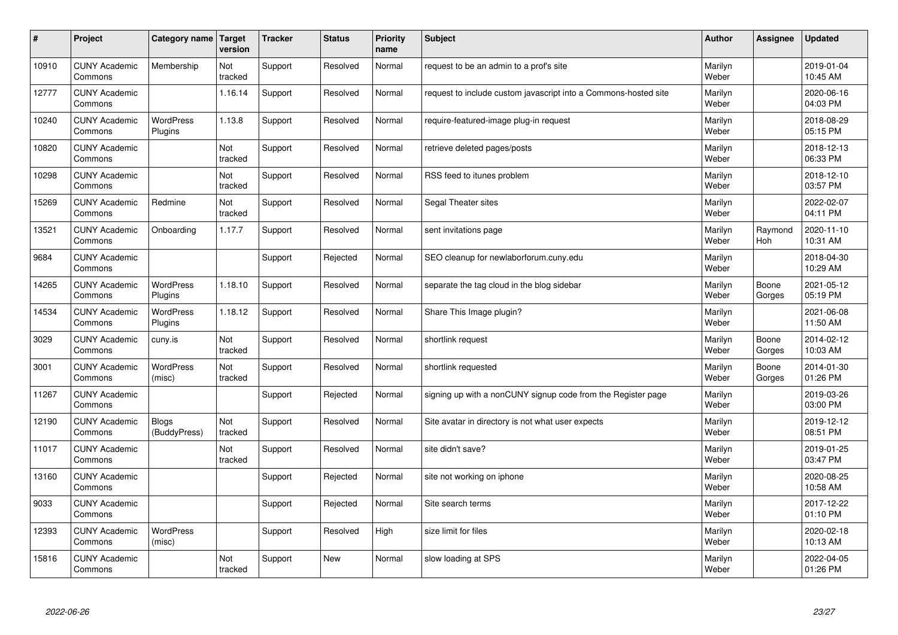| $\pmb{\sharp}$ | Project                         | Category name                | Target<br>version | <b>Tracker</b> | <b>Status</b> | <b>Priority</b><br>name | <b>Subject</b>                                                  | <b>Author</b>    | Assignee        | <b>Updated</b>         |
|----------------|---------------------------------|------------------------------|-------------------|----------------|---------------|-------------------------|-----------------------------------------------------------------|------------------|-----------------|------------------------|
| 10910          | <b>CUNY Academic</b><br>Commons | Membership                   | Not<br>tracked    | Support        | Resolved      | Normal                  | request to be an admin to a prof's site                         | Marilyn<br>Weber |                 | 2019-01-04<br>10:45 AM |
| 12777          | <b>CUNY Academic</b><br>Commons |                              | 1.16.14           | Support        | Resolved      | Normal                  | request to include custom javascript into a Commons-hosted site | Marilyn<br>Weber |                 | 2020-06-16<br>04:03 PM |
| 10240          | <b>CUNY Academic</b><br>Commons | <b>WordPress</b><br>Plugins  | 1.13.8            | Support        | Resolved      | Normal                  | require-featured-image plug-in request                          | Marilyn<br>Weber |                 | 2018-08-29<br>05:15 PM |
| 10820          | <b>CUNY Academic</b><br>Commons |                              | Not<br>tracked    | Support        | Resolved      | Normal                  | retrieve deleted pages/posts                                    | Marilyn<br>Weber |                 | 2018-12-13<br>06:33 PM |
| 10298          | <b>CUNY Academic</b><br>Commons |                              | Not<br>tracked    | Support        | Resolved      | Normal                  | RSS feed to itunes problem                                      | Marilyn<br>Weber |                 | 2018-12-10<br>03:57 PM |
| 15269          | <b>CUNY Academic</b><br>Commons | Redmine                      | Not<br>tracked    | Support        | Resolved      | Normal                  | Segal Theater sites                                             | Marilyn<br>Weber |                 | 2022-02-07<br>04:11 PM |
| 13521          | <b>CUNY Academic</b><br>Commons | Onboarding                   | 1.17.7            | Support        | Resolved      | Normal                  | sent invitations page                                           | Marilyn<br>Weber | Raymond<br>Hoh  | 2020-11-10<br>10:31 AM |
| 9684           | <b>CUNY Academic</b><br>Commons |                              |                   | Support        | Rejected      | Normal                  | SEO cleanup for newlaborforum.cuny.edu                          | Marilyn<br>Weber |                 | 2018-04-30<br>10:29 AM |
| 14265          | <b>CUNY Academic</b><br>Commons | <b>WordPress</b><br>Plugins  | 1.18.10           | Support        | Resolved      | Normal                  | separate the tag cloud in the blog sidebar                      | Marilyn<br>Weber | Boone<br>Gorges | 2021-05-12<br>05:19 PM |
| 14534          | <b>CUNY Academic</b><br>Commons | WordPress<br>Plugins         | 1.18.12           | Support        | Resolved      | Normal                  | Share This Image plugin?                                        | Marilyn<br>Weber |                 | 2021-06-08<br>11:50 AM |
| 3029           | <b>CUNY Academic</b><br>Commons | cuny.is                      | Not<br>tracked    | Support        | Resolved      | Normal                  | shortlink request                                               | Marilyn<br>Weber | Boone<br>Gorges | 2014-02-12<br>10:03 AM |
| 3001           | <b>CUNY Academic</b><br>Commons | <b>WordPress</b><br>(misc)   | Not<br>tracked    | Support        | Resolved      | Normal                  | shortlink requested                                             | Marilyn<br>Weber | Boone<br>Gorges | 2014-01-30<br>01:26 PM |
| 11267          | <b>CUNY Academic</b><br>Commons |                              |                   | Support        | Rejected      | Normal                  | signing up with a nonCUNY signup code from the Register page    | Marilyn<br>Weber |                 | 2019-03-26<br>03:00 PM |
| 12190          | <b>CUNY Academic</b><br>Commons | <b>Blogs</b><br>(BuddyPress) | Not<br>tracked    | Support        | Resolved      | Normal                  | Site avatar in directory is not what user expects               | Marilyn<br>Weber |                 | 2019-12-12<br>08:51 PM |
| 11017          | <b>CUNY Academic</b><br>Commons |                              | Not<br>tracked    | Support        | Resolved      | Normal                  | site didn't save?                                               | Marilyn<br>Weber |                 | 2019-01-25<br>03:47 PM |
| 13160          | <b>CUNY Academic</b><br>Commons |                              |                   | Support        | Rejected      | Normal                  | site not working on iphone                                      | Marilyn<br>Weber |                 | 2020-08-25<br>10:58 AM |
| 9033           | <b>CUNY Academic</b><br>Commons |                              |                   | Support        | Rejected      | Normal                  | Site search terms                                               | Marilyn<br>Weber |                 | 2017-12-22<br>01:10 PM |
| 12393          | <b>CUNY Academic</b><br>Commons | <b>WordPress</b><br>(misc)   |                   | Support        | Resolved      | High                    | size limit for files                                            | Marilyn<br>Weber |                 | 2020-02-18<br>10:13 AM |
| 15816          | <b>CUNY Academic</b><br>Commons |                              | Not<br>tracked    | Support        | New           | Normal                  | slow loading at SPS                                             | Marilyn<br>Weber |                 | 2022-04-05<br>01:26 PM |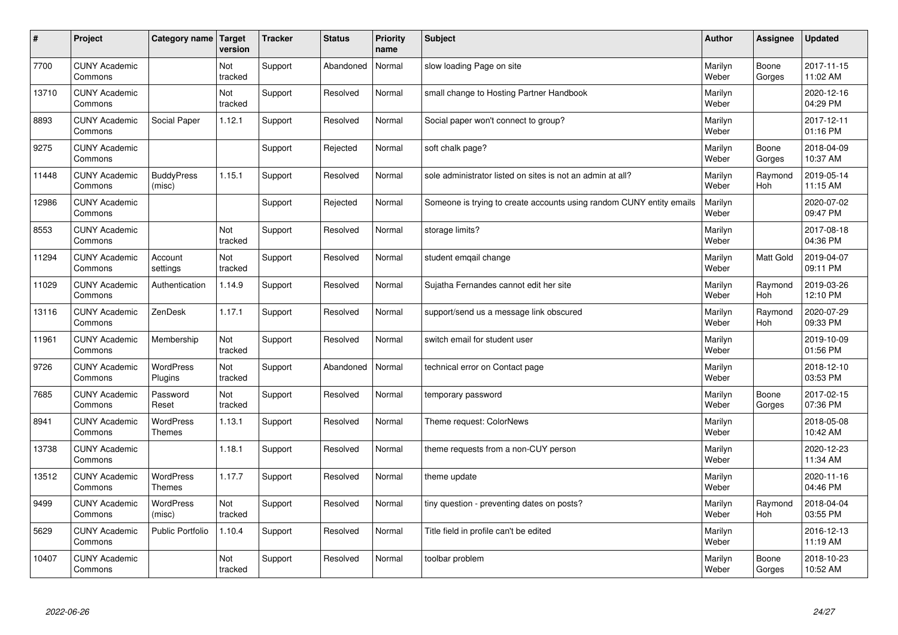| $\vert$ # | Project                         | Category name                     | Target<br>version | <b>Tracker</b> | <b>Status</b> | <b>Priority</b><br>name | <b>Subject</b>                                                       | <b>Author</b>    | Assignee        | <b>Updated</b>         |
|-----------|---------------------------------|-----------------------------------|-------------------|----------------|---------------|-------------------------|----------------------------------------------------------------------|------------------|-----------------|------------------------|
| 7700      | <b>CUNY Academic</b><br>Commons |                                   | Not<br>tracked    | Support        | Abandoned     | Normal                  | slow loading Page on site                                            | Marilyn<br>Weber | Boone<br>Gorges | 2017-11-15<br>11:02 AM |
| 13710     | <b>CUNY Academic</b><br>Commons |                                   | Not<br>tracked    | Support        | Resolved      | Normal                  | small change to Hosting Partner Handbook                             | Marilyn<br>Weber |                 | 2020-12-16<br>04:29 PM |
| 8893      | <b>CUNY Academic</b><br>Commons | Social Paper                      | 1.12.1            | Support        | Resolved      | Normal                  | Social paper won't connect to group?                                 | Marilyn<br>Weber |                 | 2017-12-11<br>01:16 PM |
| 9275      | <b>CUNY Academic</b><br>Commons |                                   |                   | Support        | Rejected      | Normal                  | soft chalk page?                                                     | Marilyn<br>Weber | Boone<br>Gorges | 2018-04-09<br>10:37 AM |
| 11448     | <b>CUNY Academic</b><br>Commons | <b>BuddyPress</b><br>(misc)       | 1.15.1            | Support        | Resolved      | Normal                  | sole administrator listed on sites is not an admin at all?           | Marilyn<br>Weber | Raymond<br>Hoh  | 2019-05-14<br>11:15 AM |
| 12986     | <b>CUNY Academic</b><br>Commons |                                   |                   | Support        | Rejected      | Normal                  | Someone is trying to create accounts using random CUNY entity emails | Marilyn<br>Weber |                 | 2020-07-02<br>09:47 PM |
| 8553      | <b>CUNY Academic</b><br>Commons |                                   | Not<br>tracked    | Support        | Resolved      | Normal                  | storage limits?                                                      | Marilyn<br>Weber |                 | 2017-08-18<br>04:36 PM |
| 11294     | <b>CUNY Academic</b><br>Commons | Account<br>settings               | Not<br>tracked    | Support        | Resolved      | Normal                  | student emgail change                                                | Marilyn<br>Weber | Matt Gold       | 2019-04-07<br>09:11 PM |
| 11029     | <b>CUNY Academic</b><br>Commons | Authentication                    | 1.14.9            | Support        | Resolved      | Normal                  | Sujatha Fernandes cannot edit her site                               | Marilyn<br>Weber | Raymond<br>Hoh  | 2019-03-26<br>12:10 PM |
| 13116     | <b>CUNY Academic</b><br>Commons | ZenDesk                           | 1.17.1            | Support        | Resolved      | Normal                  | support/send us a message link obscured                              | Marilyn<br>Weber | Raymond<br>Hoh  | 2020-07-29<br>09:33 PM |
| 11961     | <b>CUNY Academic</b><br>Commons | Membership                        | Not<br>tracked    | Support        | Resolved      | Normal                  | switch email for student user                                        | Marilyn<br>Weber |                 | 2019-10-09<br>01:56 PM |
| 9726      | <b>CUNY Academic</b><br>Commons | <b>WordPress</b><br>Plugins       | Not<br>tracked    | Support        | Abandoned     | Normal                  | technical error on Contact page                                      | Marilyn<br>Weber |                 | 2018-12-10<br>03:53 PM |
| 7685      | <b>CUNY Academic</b><br>Commons | Password<br>Reset                 | Not<br>tracked    | Support        | Resolved      | Normal                  | temporary password                                                   | Marilyn<br>Weber | Boone<br>Gorges | 2017-02-15<br>07:36 PM |
| 8941      | <b>CUNY Academic</b><br>Commons | WordPress<br><b>Themes</b>        | 1.13.1            | Support        | Resolved      | Normal                  | Theme request: ColorNews                                             | Marilyn<br>Weber |                 | 2018-05-08<br>10:42 AM |
| 13738     | <b>CUNY Academic</b><br>Commons |                                   | 1.18.1            | Support        | Resolved      | Normal                  | theme requests from a non-CUY person                                 | Marilyn<br>Weber |                 | 2020-12-23<br>11:34 AM |
| 13512     | <b>CUNY Academic</b><br>Commons | <b>WordPress</b><br><b>Themes</b> | 1.17.7            | Support        | Resolved      | Normal                  | theme update                                                         | Marilyn<br>Weber |                 | 2020-11-16<br>04:46 PM |
| 9499      | <b>CUNY Academic</b><br>Commons | WordPress<br>(misc)               | Not<br>tracked    | Support        | Resolved      | Normal                  | tiny question - preventing dates on posts?                           | Marilyn<br>Weber | Raymond<br>Hoh  | 2018-04-04<br>03:55 PM |
| 5629      | <b>CUNY Academic</b><br>Commons | Public Portfolio                  | 1.10.4            | Support        | Resolved      | Normal                  | Title field in profile can't be edited                               | Marilyn<br>Weber |                 | 2016-12-13<br>11:19 AM |
| 10407     | <b>CUNY Academic</b><br>Commons |                                   | Not<br>tracked    | Support        | Resolved      | Normal                  | toolbar problem                                                      | Marilyn<br>Weber | Boone<br>Gorges | 2018-10-23<br>10:52 AM |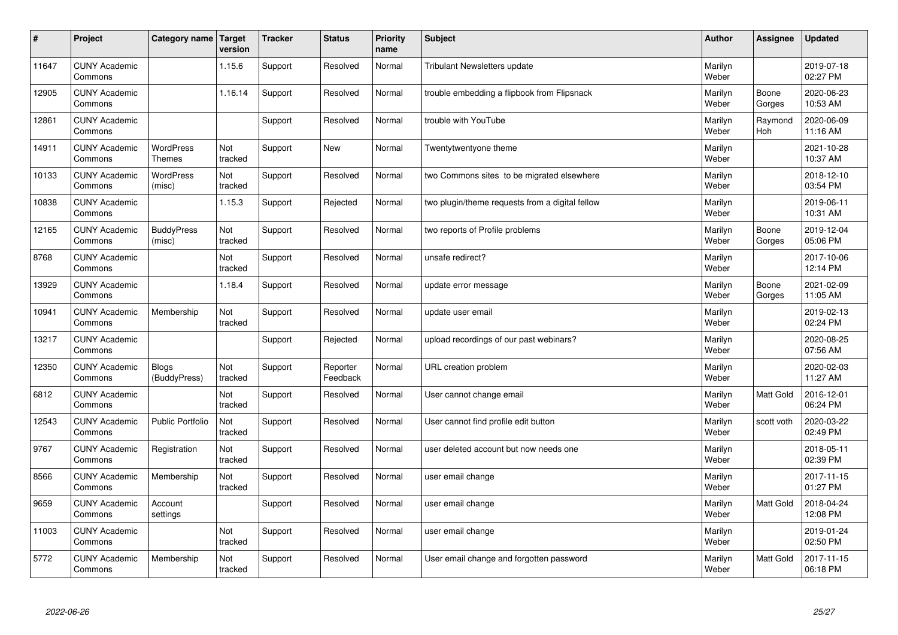| #     | Project                         | Category name   Target            | version        | <b>Tracker</b> | <b>Status</b>        | <b>Priority</b><br>name | <b>Subject</b>                                  | <b>Author</b>    | Assignee         | <b>Updated</b>         |
|-------|---------------------------------|-----------------------------------|----------------|----------------|----------------------|-------------------------|-------------------------------------------------|------------------|------------------|------------------------|
| 11647 | <b>CUNY Academic</b><br>Commons |                                   | 1.15.6         | Support        | Resolved             | Normal                  | <b>Tribulant Newsletters update</b>             | Marilyn<br>Weber |                  | 2019-07-18<br>02:27 PM |
| 12905 | <b>CUNY Academic</b><br>Commons |                                   | 1.16.14        | Support        | Resolved             | Normal                  | trouble embedding a flipbook from Flipsnack     | Marilyn<br>Weber | Boone<br>Gorges  | 2020-06-23<br>10:53 AM |
| 12861 | <b>CUNY Academic</b><br>Commons |                                   |                | Support        | Resolved             | Normal                  | trouble with YouTube                            | Marilyn<br>Weber | Raymond<br>Hoh   | 2020-06-09<br>11:16 AM |
| 14911 | <b>CUNY Academic</b><br>Commons | <b>WordPress</b><br><b>Themes</b> | Not<br>tracked | Support        | <b>New</b>           | Normal                  | Twentytwentyone theme                           | Marilyn<br>Weber |                  | 2021-10-28<br>10:37 AM |
| 10133 | <b>CUNY Academic</b><br>Commons | <b>WordPress</b><br>(misc)        | Not<br>tracked | Support        | Resolved             | Normal                  | two Commons sites to be migrated elsewhere      | Marilyn<br>Weber |                  | 2018-12-10<br>03:54 PM |
| 10838 | <b>CUNY Academic</b><br>Commons |                                   | 1.15.3         | Support        | Rejected             | Normal                  | two plugin/theme requests from a digital fellow | Marilyn<br>Weber |                  | 2019-06-11<br>10:31 AM |
| 12165 | <b>CUNY Academic</b><br>Commons | <b>BuddyPress</b><br>(misc)       | Not<br>tracked | Support        | Resolved             | Normal                  | two reports of Profile problems                 | Marilyn<br>Weber | Boone<br>Gorges  | 2019-12-04<br>05:06 PM |
| 8768  | <b>CUNY Academic</b><br>Commons |                                   | Not<br>tracked | Support        | Resolved             | Normal                  | unsafe redirect?                                | Marilyn<br>Weber |                  | 2017-10-06<br>12:14 PM |
| 13929 | <b>CUNY Academic</b><br>Commons |                                   | 1.18.4         | Support        | Resolved             | Normal                  | update error message                            | Marilyn<br>Weber | Boone<br>Gorges  | 2021-02-09<br>11:05 AM |
| 10941 | <b>CUNY Academic</b><br>Commons | Membership                        | Not<br>tracked | Support        | Resolved             | Normal                  | update user email                               | Marilyn<br>Weber |                  | 2019-02-13<br>02:24 PM |
| 13217 | <b>CUNY Academic</b><br>Commons |                                   |                | Support        | Rejected             | Normal                  | upload recordings of our past webinars?         | Marilyn<br>Weber |                  | 2020-08-25<br>07:56 AM |
| 12350 | <b>CUNY Academic</b><br>Commons | <b>Blogs</b><br>(BuddyPress)      | Not<br>tracked | Support        | Reporter<br>Feedback | Normal                  | URL creation problem                            | Marilyn<br>Weber |                  | 2020-02-03<br>11:27 AM |
| 6812  | <b>CUNY Academic</b><br>Commons |                                   | Not<br>tracked | Support        | Resolved             | Normal                  | User cannot change email                        | Marilyn<br>Weber | Matt Gold        | 2016-12-01<br>06:24 PM |
| 12543 | <b>CUNY Academic</b><br>Commons | <b>Public Portfolio</b>           | Not<br>tracked | Support        | Resolved             | Normal                  | User cannot find profile edit button            | Marilyn<br>Weber | scott voth       | 2020-03-22<br>02:49 PM |
| 9767  | <b>CUNY Academic</b><br>Commons | Registration                      | Not<br>tracked | Support        | Resolved             | Normal                  | user deleted account but now needs one          | Marilyn<br>Weber |                  | 2018-05-11<br>02:39 PM |
| 8566  | <b>CUNY Academic</b><br>Commons | Membership                        | Not<br>tracked | Support        | Resolved             | Normal                  | user email change                               | Marilyn<br>Weber |                  | 2017-11-15<br>01:27 PM |
| 9659  | <b>CUNY Academic</b><br>Commons | Account<br>settings               |                | Support        | Resolved             | Normal                  | user email change                               | Marilyn<br>Weber | <b>Matt Gold</b> | 2018-04-24<br>12:08 PM |
| 11003 | <b>CUNY Academic</b><br>Commons |                                   | Not<br>tracked | Support        | Resolved             | Normal                  | user email change                               | Marilyn<br>Weber |                  | 2019-01-24<br>02:50 PM |
| 5772  | <b>CUNY Academic</b><br>Commons | Membership                        | Not<br>tracked | Support        | Resolved             | Normal                  | User email change and forgotten password        | Marilyn<br>Weber | <b>Matt Gold</b> | 2017-11-15<br>06:18 PM |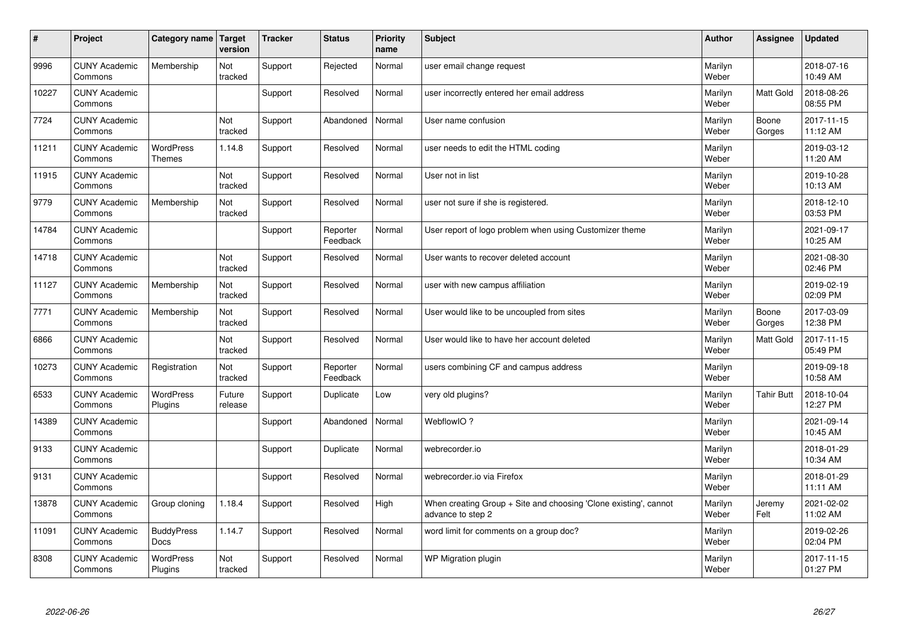| $\sharp$ | Project                         | Category name   Target             | version           | <b>Tracker</b> | <b>Status</b>        | <b>Priority</b><br>name | <b>Subject</b>                                                                        | <b>Author</b>    | Assignee          | <b>Updated</b>         |
|----------|---------------------------------|------------------------------------|-------------------|----------------|----------------------|-------------------------|---------------------------------------------------------------------------------------|------------------|-------------------|------------------------|
| 9996     | <b>CUNY Academic</b><br>Commons | Membership                         | Not<br>tracked    | Support        | Rejected             | Normal                  | user email change request                                                             | Marilyn<br>Weber |                   | 2018-07-16<br>10:49 AM |
| 10227    | <b>CUNY Academic</b><br>Commons |                                    |                   | Support        | Resolved             | Normal                  | user incorrectly entered her email address                                            | Marilyn<br>Weber | <b>Matt Gold</b>  | 2018-08-26<br>08:55 PM |
| 7724     | <b>CUNY Academic</b><br>Commons |                                    | Not<br>tracked    | Support        | Abandoned            | Normal                  | User name confusion                                                                   | Marilyn<br>Weber | Boone<br>Gorges   | 2017-11-15<br>11:12 AM |
| 11211    | <b>CUNY Academic</b><br>Commons | <b>WordPress</b><br><b>Themes</b>  | 1.14.8            | Support        | Resolved             | Normal                  | user needs to edit the HTML coding                                                    | Marilyn<br>Weber |                   | 2019-03-12<br>11:20 AM |
| 11915    | <b>CUNY Academic</b><br>Commons |                                    | Not<br>tracked    | Support        | Resolved             | Normal                  | User not in list                                                                      | Marilyn<br>Weber |                   | 2019-10-28<br>10:13 AM |
| 9779     | <b>CUNY Academic</b><br>Commons | Membership                         | Not<br>tracked    | Support        | Resolved             | Normal                  | user not sure if she is registered.                                                   | Marilyn<br>Weber |                   | 2018-12-10<br>03:53 PM |
| 14784    | <b>CUNY Academic</b><br>Commons |                                    |                   | Support        | Reporter<br>Feedback | Normal                  | User report of logo problem when using Customizer theme                               | Marilyn<br>Weber |                   | 2021-09-17<br>10:25 AM |
| 14718    | <b>CUNY Academic</b><br>Commons |                                    | Not<br>tracked    | Support        | Resolved             | Normal                  | User wants to recover deleted account                                                 | Marilyn<br>Weber |                   | 2021-08-30<br>02:46 PM |
| 11127    | <b>CUNY Academic</b><br>Commons | Membership                         | Not<br>tracked    | Support        | Resolved             | Normal                  | user with new campus affiliation                                                      | Marilyn<br>Weber |                   | 2019-02-19<br>02:09 PM |
| 7771     | <b>CUNY Academic</b><br>Commons | Membership                         | Not<br>tracked    | Support        | Resolved             | Normal                  | User would like to be uncoupled from sites                                            | Marilyn<br>Weber | Boone<br>Gorges   | 2017-03-09<br>12:38 PM |
| 6866     | <b>CUNY Academic</b><br>Commons |                                    | Not<br>tracked    | Support        | Resolved             | Normal                  | User would like to have her account deleted                                           | Marilyn<br>Weber | <b>Matt Gold</b>  | 2017-11-15<br>05:49 PM |
| 10273    | <b>CUNY Academic</b><br>Commons | Registration                       | Not<br>tracked    | Support        | Reporter<br>Feedback | Normal                  | users combining CF and campus address                                                 | Marilyn<br>Weber |                   | 2019-09-18<br>10:58 AM |
| 6533     | <b>CUNY Academic</b><br>Commons | <b>WordPress</b><br>Plugins        | Future<br>release | Support        | Duplicate            | Low                     | very old plugins?                                                                     | Marilyn<br>Weber | <b>Tahir Butt</b> | 2018-10-04<br>12:27 PM |
| 14389    | <b>CUNY Academic</b><br>Commons |                                    |                   | Support        | Abandoned            | Normal                  | WebflowIO?                                                                            | Marilyn<br>Weber |                   | 2021-09-14<br>10:45 AM |
| 9133     | <b>CUNY Academic</b><br>Commons |                                    |                   | Support        | Duplicate            | Normal                  | webrecorder.io                                                                        | Marilyn<br>Weber |                   | 2018-01-29<br>10:34 AM |
| 9131     | <b>CUNY Academic</b><br>Commons |                                    |                   | Support        | Resolved             | Normal                  | webrecorder.io via Firefox                                                            | Marilyn<br>Weber |                   | 2018-01-29<br>11:11 AM |
| 13878    | <b>CUNY Academic</b><br>Commons | Group cloning                      | 1.18.4            | Support        | Resolved             | High                    | When creating Group + Site and choosing 'Clone existing', cannot<br>advance to step 2 | Marilyn<br>Weber | Jeremy<br>Felt    | 2021-02-02<br>11:02 AM |
| 11091    | <b>CUNY Academic</b><br>Commons | <b>BuddyPress</b><br>Docs          | 1.14.7            | Support        | Resolved             | Normal                  | word limit for comments on a group doc?                                               | Marilyn<br>Weber |                   | 2019-02-26<br>02:04 PM |
| 8308     | <b>CUNY Academic</b><br>Commons | <b>WordPress</b><br><b>Plugins</b> | Not<br>tracked    | Support        | Resolved             | Normal                  | WP Migration plugin                                                                   | Marilyn<br>Weber |                   | 2017-11-15<br>01:27 PM |